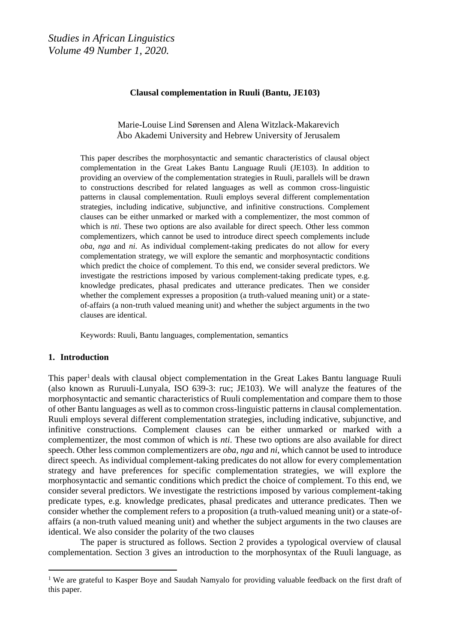## **Clausal complementation in Ruuli (Bantu, JE103)**

Marie-Louise Lind Sørensen and Alena Witzlack-Makarevich Åbo Akademi University and Hebrew University of Jerusalem

This paper describes the morphosyntactic and semantic characteristics of clausal object complementation in the Great Lakes Bantu Language Ruuli (JE103). In addition to providing an overview of the complementation strategies in Ruuli, parallels will be drawn to constructions described for related languages as well as common cross-linguistic patterns in clausal complementation. Ruuli employs several different complementation strategies, including indicative, subjunctive, and infinitive constructions. Complement clauses can be either unmarked or marked with a complementizer, the most common of which is *nti*. These two options are also available for direct speech. Other less common complementizers, which cannot be used to introduce direct speech complements include *oba*, *nga* and *ni*. As individual complement-taking predicates do not allow for every complementation strategy, we will explore the semantic and morphosyntactic conditions which predict the choice of complement. To this end, we consider several predictors. We investigate the restrictions imposed by various complement-taking predicate types, e.g. knowledge predicates, phasal predicates and utterance predicates. Then we consider whether the complement expresses a proposition (a truth-valued meaning unit) or a stateof-affairs (a non-truth valued meaning unit) and whether the subject arguments in the two clauses are identical.

Keywords: Ruuli, Bantu languages, complementation, semantics

## **1. Introduction**

 $\overline{a}$ 

This paper<sup>1</sup> deals with clausal object complementation in the Great Lakes Bantu language Ruuli (also known as Ruruuli-Lunyala, ISO 639-3: ruc; JE103). We will analyze the features of the morphosyntactic and semantic characteristics of Ruuli complementation and compare them to those of other Bantu languages as well as to common cross-linguistic patterns in clausal complementation. Ruuli employs several different complementation strategies, including indicative, subjunctive, and infinitive constructions. Complement clauses can be either unmarked or marked with a complementizer, the most common of which is *nti*. These two options are also available for direct speech. Other less common complementizers are *oba*, *nga* and *ni*, which cannot be used to introduce direct speech. As individual complement-taking predicates do not allow for every complementation strategy and have preferences for specific complementation strategies, we will explore the morphosyntactic and semantic conditions which predict the choice of complement. To this end, we consider several predictors. We investigate the restrictions imposed by various complement-taking predicate types, e.g. knowledge predicates, phasal predicates and utterance predicates. Then we consider whether the complement refers to a proposition (a truth-valued meaning unit) or a state-ofaffairs (a non-truth valued meaning unit) and whether the subject arguments in the two clauses are identical. We also consider the polarity of the two clauses

The paper is structured as follows. Section 2 provides a typological overview of clausal complementation. Section 3 gives an introduction to the morphosyntax of the Ruuli language, as

<sup>&</sup>lt;sup>1</sup> We are grateful to Kasper Boye and Saudah Namyalo for providing valuable feedback on the first draft of this paper.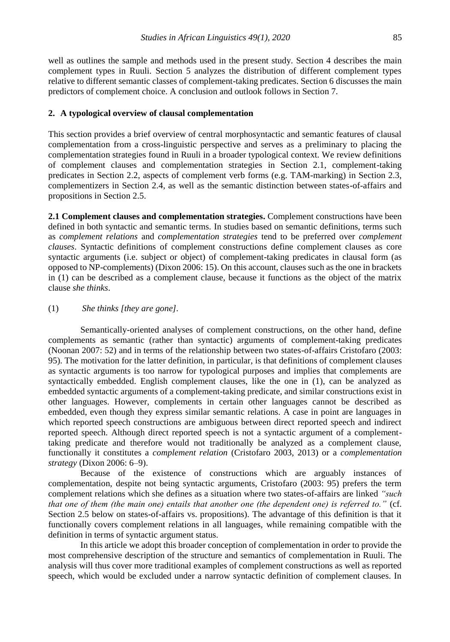well as outlines the sample and methods used in the present study. Section 4 describes the main complement types in Ruuli. Section 5 analyzes the distribution of different complement types relative to different semantic classes of complement-taking predicates. Section 6 discusses the main predictors of complement choice. A conclusion and outlook follows in Section 7.

#### **2. A typological overview of clausal complementation**

This section provides a brief overview of central morphosyntactic and semantic features of clausal complementation from a cross-linguistic perspective and serves as a preliminary to placing the complementation strategies found in Ruuli in a broader typological context. We review definitions of complement clauses and complementation strategies in Section 2.1, complement-taking predicates in Section 2.2, aspects of complement verb forms (e.g. TAM-marking) in Section 2.3, complementizers in Section 2.4, as well as the semantic distinction between states-of-affairs and propositions in Section 2.5.

**2.1 Complement clauses and complementation strategies.** Complement constructions have been defined in both syntactic and semantic terms. In studies based on semantic definitions, terms such as *complement relations* and *complementation strategies* tend to be preferred over *complement clauses*. Syntactic definitions of complement constructions define complement clauses as core syntactic arguments (i.e. subject or object) of complement-taking predicates in clausal form (as opposed to NP-complements) (Dixon 2006: 15). On this account, clauses such as the one in brackets in (1) can be described as a complement clause, because it functions as the object of the matrix clause *she thinks*.

## (1) *She thinks [they are gone].*

Semantically-oriented analyses of complement constructions, on the other hand, define complements as semantic (rather than syntactic) arguments of complement-taking predicates (Noonan 2007: 52) and in terms of the relationship between two states-of-affairs Cristofaro (2003: 95). The motivation for the latter definition, in particular, is that definitions of complement clauses as syntactic arguments is too narrow for typological purposes and implies that complements are syntactically embedded. English complement clauses, like the one in (1), can be analyzed as embedded syntactic arguments of a complement-taking predicate, and similar constructions exist in other languages. However, complements in certain other languages cannot be described as embedded, even though they express similar semantic relations. A case in point are languages in which reported speech constructions are ambiguous between direct reported speech and indirect reported speech. Although direct reported speech is not a syntactic argument of a complementtaking predicate and therefore would not traditionally be analyzed as a complement clause, functionally it constitutes a *complement relation* (Cristofaro 2003, 2013) or a *complementation strategy* (Dixon 2006: 6–9).

Because of the existence of constructions which are arguably instances of complementation, despite not being syntactic arguments, Cristofaro (2003: 95) prefers the term complement relations which she defines as a situation where two states-of-affairs are linked *"such that one of them (the main one) entails that another one (the dependent one) is referred to."* (cf. Section 2.5 below on states-of-affairs vs. propositions). The advantage of this definition is that it functionally covers complement relations in all languages, while remaining compatible with the definition in terms of syntactic argument status.

In this article we adopt this broader conception of complementation in order to provide the most comprehensive description of the structure and semantics of complementation in Ruuli. The analysis will thus cover more traditional examples of complement constructions as well as reported speech, which would be excluded under a narrow syntactic definition of complement clauses. In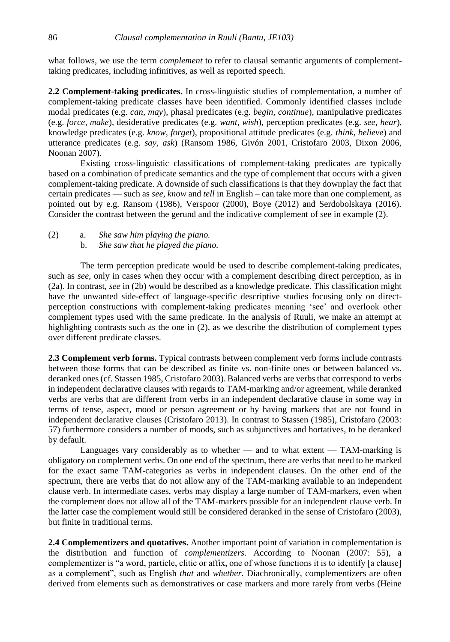what follows, we use the term *complement* to refer to clausal semantic arguments of complementtaking predicates, including infinitives, as well as reported speech.

**2.2 Complement-taking predicates.** In cross-linguistic studies of complementation, a number of complement-taking predicate classes have been identified. Commonly identified classes include modal predicates (e.g. *can, may*), phasal predicates (e.g. *begin, continue*), manipulative predicates (e.g. *force, make*), desiderative predicates (e.g. *want, wish*), perception predicates (e.g. *see, hear*), knowledge predicates (e.g. *know, forget*), propositional attitude predicates (e.g. *think, believe*) and utterance predicates (e.g. *say, ask*) (Ransom 1986, Givón 2001, Cristofaro 2003, Dixon 2006, Noonan 2007).

Existing cross-linguistic classifications of complement-taking predicates are typically based on a combination of predicate semantics and the type of complement that occurs with a given complement-taking predicate. A downside of such classifications is that they downplay the fact that certain predicates — such as *see*, *know* and *tell* in English – can take more than one complement, as pointed out by e.g. Ransom (1986), Verspoor (2000), Boye (2012) and Serdobolskaya (2016). Consider the contrast between the gerund and the indicative complement of see in example (2).

- (2) a. *She saw him playing the piano.*
	- b. *She saw that he played the piano.*

The term perception predicate would be used to describe complement-taking predicates, such as *see*, only in cases when they occur with a complement describing direct perception, as in (2a). In contrast, *see* in (2b) would be described as a knowledge predicate. This classification might have the unwanted side-effect of language-specific descriptive studies focusing only on directperception constructions with complement-taking predicates meaning 'see' and overlook other complement types used with the same predicate. In the analysis of Ruuli, we make an attempt at highlighting contrasts such as the one in (2), as we describe the distribution of complement types over different predicate classes.

**2.3 Complement verb forms.** Typical contrasts between complement verb forms include contrasts between those forms that can be described as finite vs. non-finite ones or between balanced vs. deranked ones (cf. Stassen 1985, Cristofaro 2003). Balanced verbs are verbs that correspond to verbs in independent declarative clauses with regards to TAM-marking and/or agreement, while deranked verbs are verbs that are different from verbs in an independent declarative clause in some way in terms of tense, aspect, mood or person agreement or by having markers that are not found in independent declarative clauses (Cristofaro 2013). In contrast to Stassen (1985), Cristofaro (2003: 57) furthermore considers a number of moods, such as subjunctives and hortatives, to be deranked by default.

Languages vary considerably as to whether — and to what extent — TAM-marking is obligatory on complement verbs. On one end of the spectrum, there are verbs that need to be marked for the exact same TAM-categories as verbs in independent clauses. On the other end of the spectrum, there are verbs that do not allow any of the TAM-marking available to an independent clause verb. In intermediate cases, verbs may display a large number of TAM-markers, even when the complement does not allow all of the TAM-markers possible for an independent clause verb. In the latter case the complement would still be considered deranked in the sense of Cristofaro (2003), but finite in traditional terms.

**2.4 Complementizers and quotatives.** Another important point of variation in complementation is the distribution and function of *complementizers*. According to Noonan (2007: 55), a complementizer is "a word, particle, clitic or affix, one of whose functions it is to identify [a clause] as a complement", such as English *that* and *whether*. Diachronically, complementizers are often derived from elements such as demonstratives or case markers and more rarely from verbs (Heine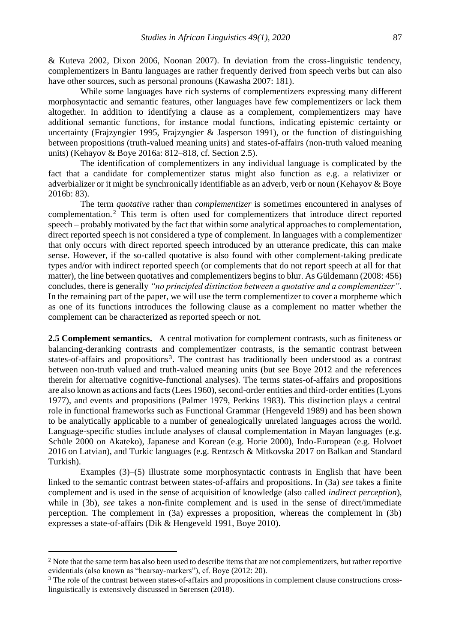& Kuteva 2002, Dixon 2006, Noonan 2007). In deviation from the cross-linguistic tendency, complementizers in Bantu languages are rather frequently derived from speech verbs but can also have other sources, such as personal pronouns (Kawasha 2007: 181).

While some languages have rich systems of complementizers expressing many different morphosyntactic and semantic features, other languages have few complementizers or lack them altogether. In addition to identifying a clause as a complement, complementizers may have additional semantic functions, for instance modal functions, indicating epistemic certainty or uncertainty (Frajzyngier 1995, Frajzyngier & Jasperson 1991), or the function of distinguishing between propositions (truth-valued meaning units) and states-of-affairs (non-truth valued meaning units) (Kehayov & Boye 2016a: 812–818, cf. Section 2.5).

The identification of complementizers in any individual language is complicated by the fact that a candidate for complementizer status might also function as e.g. a relativizer or adverbializer or it might be synchronically identifiable as an adverb, verb or noun (Kehayov & Boye 2016b: 83).

The term *quotative* rather than *complementizer* is sometimes encountered in analyses of complementation.<sup>2</sup> This term is often used for complementizers that introduce direct reported speech – probably motivated by the fact that within some analytical approaches to complementation, direct reported speech is not considered a type of complement. In languages with a complementizer that only occurs with direct reported speech introduced by an utterance predicate, this can make sense. However, if the so-called quotative is also found with other complement-taking predicate types and/or with indirect reported speech (or complements that do not report speech at all for that matter), the line between quotatives and complementizers begins to blur. As Güldemann (2008: 456) concludes, there is generally *"no principled distinction between a quotative and a complementizer"*. In the remaining part of the paper, we will use the term complementizer to cover a morpheme which as one of its functions introduces the following clause as a complement no matter whether the complement can be characterized as reported speech or not.

**2.5 Complement semantics**. A central motivation for complement contrasts, such as finiteness or balancing-deranking contrasts and complementizer contrasts, is the semantic contrast between states-of-affairs and propositions<sup>3</sup>. The contrast has traditionally been understood as a contrast between non-truth valued and truth-valued meaning units (but see Boye 2012 and the references therein for alternative cognitive-functional analyses). The terms states-of-affairs and propositions are also known as actions and facts (Lees 1960), second-order entities and third-order entities (Lyons 1977), and events and propositions (Palmer 1979, Perkins 1983). This distinction plays a central role in functional frameworks such as Functional Grammar (Hengeveld 1989) and has been shown to be analytically applicable to a number of genealogically unrelated languages across the world. Language-specific studies include analyses of clausal complementation in Mayan languages (e.g. Schüle 2000 on Akateko), Japanese and Korean (e.g. Horie 2000), Indo-European (e.g. Holvoet 2016 on Latvian), and Turkic languages (e.g. Rentzsch & Mitkovska 2017 on Balkan and Standard Turkish).

Examples (3)–(5) illustrate some morphosyntactic contrasts in English that have been linked to the semantic contrast between states-of-affairs and propositions. In (3a) *see* takes a finite complement and is used in the sense of acquisition of knowledge (also called *indirect perception*), while in (3b), *see* takes a non-finite complement and is used in the sense of direct/immediate perception. The complement in (3a) expresses a proposition, whereas the complement in (3b) expresses a state-of-affairs (Dik & Hengeveld 1991, Boye 2010).

 $\overline{a}$ 

 $2$  Note that the same term has also been used to describe items that are not complementizers, but rather reportive evidentials (also known as "hearsay-markers"), cf. Boye (2012: 20).

<sup>&</sup>lt;sup>3</sup> The role of the contrast between states-of-affairs and propositions in complement clause constructions crosslinguistically is extensively discussed in Sørensen (2018).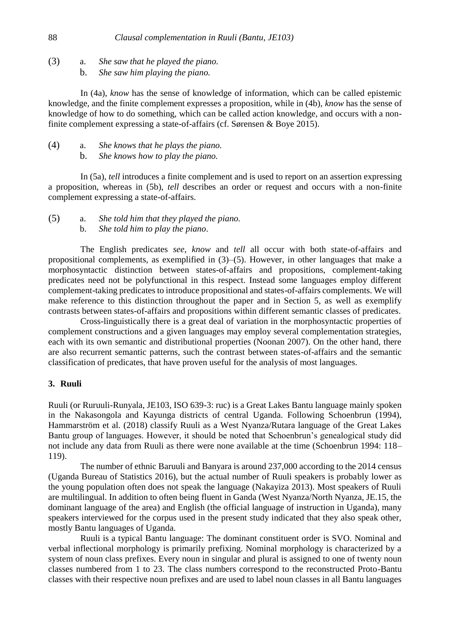(3) a. *She saw that he played the piano.* b. *She saw him playing the piano.*

In (4a), *know* has the sense of knowledge of information, which can be called epistemic knowledge, and the finite complement expresses a proposition, while in (4b), *know* has the sense of knowledge of how to do something, which can be called action knowledge, and occurs with a nonfinite complement expressing a state-of-affairs (cf. Sørensen & Boye 2015).

- (4) a. *She knows that he plays the piano.*
	- b. *She knows how to play the piano.*

In (5a), *tell* introduces a finite complement and is used to report on an assertion expressing a proposition, whereas in (5b), *tell* describes an order or request and occurs with a non-finite complement expressing a state-of-affairs.

(5) a. *She told him that they played the piano.* b. *She told him to play the piano*.

The English predicates *see*, *know* and *tell* all occur with both state-of-affairs and propositional complements, as exemplified in (3)–(5). However, in other languages that make a morphosyntactic distinction between states-of-affairs and propositions, complement-taking predicates need not be polyfunctional in this respect. Instead some languages employ different complement-taking predicates to introduce propositional and states-of-affairs complements. We will make reference to this distinction throughout the paper and in Section 5, as well as exemplify contrasts between states-of-affairs and propositions within different semantic classes of predicates.

Cross-linguistically there is a great deal of variation in the morphosyntactic properties of complement constructions and a given languages may employ several complementation strategies, each with its own semantic and distributional properties (Noonan 2007). On the other hand, there are also recurrent semantic patterns, such the contrast between states-of-affairs and the semantic classification of predicates, that have proven useful for the analysis of most languages.

## **3. Ruuli**

Ruuli (or Ruruuli-Runyala, JE103, ISO 639-3: ruc) is a Great Lakes Bantu language mainly spoken in the Nakasongola and Kayunga districts of central Uganda. Following Schoenbrun (1994), Hammarström et al. (2018) classify Ruuli as a West Nyanza/Rutara language of the Great Lakes Bantu group of languages. However, it should be noted that Schoenbrun's genealogical study did not include any data from Ruuli as there were none available at the time (Schoenbrun 1994: 118– 119).

The number of ethnic Baruuli and Banyara is around 237,000 according to the 2014 census (Uganda Bureau of Statistics 2016), but the actual number of Ruuli speakers is probably lower as the young population often does not speak the language (Nakayiza 2013). Most speakers of Ruuli are multilingual. In addition to often being fluent in Ganda (West Nyanza/North Nyanza, JE.15, the dominant language of the area) and English (the official language of instruction in Uganda), many speakers interviewed for the corpus used in the present study indicated that they also speak other, mostly Bantu languages of Uganda.

Ruuli is a typical Bantu language: The dominant constituent order is SVO. Nominal and verbal inflectional morphology is primarily prefixing. Nominal morphology is characterized by a system of noun class prefixes. Every noun in singular and plural is assigned to one of twenty noun classes numbered from 1 to 23. The class numbers correspond to the reconstructed Proto-Bantu classes with their respective noun prefixes and are used to label noun classes in all Bantu languages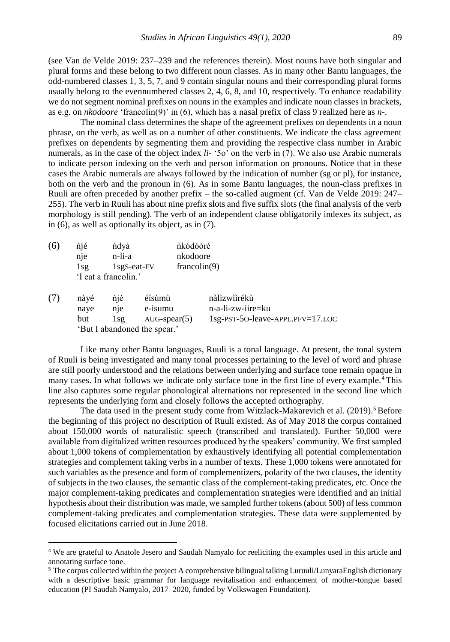(see Van de Velde 2019: 237–239 and the references therein). Most nouns have both singular and plural forms and these belong to two different noun classes. As in many other Bantu languages, the odd-numbered classes 1, 3, 5, 7, and 9 contain singular nouns and their corresponding plural forms usually belong to the evennumbered classes 2, 4, 6, 8, and 10, respectively. To enhance readability we do not segment nominal prefixes on nouns in the examples and indicate noun classes in brackets, as e.g. on *nkodoore* 'francolin(9)' in (6), which has a nasal prefix of class 9 realized here as *n*-.

The nominal class determines the shape of the agreement prefixes on dependents in a noun phrase, on the verb, as well as on a number of other constituents. We indicate the class agreement prefixes on dependents by segmenting them and providing the respective class number in Arabic numerals, as in the case of the object index *li-* '5o' on the verb in (7). We also use Arabic numerals to indicate person indexing on the verb and person information on pronouns. Notice that in these cases the Arabic numerals are always followed by the indication of number (sg or pl), for instance, both on the verb and the pronoun in (6). As in some Bantu languages, the noun-class prefixes in Ruuli are often preceded by another prefix – the so-called augment (cf. Van de Velde 2019: 247– 255). The verb in Ruuli has about nine prefix slots and five suffix slots (the final analysis of the verb morphology is still pending). The verb of an independent clause obligatorily indexes its subject, as in (6), as well as optionally its object, as in (7).

| (6) | nié | ńdyà                     | nkódóore     |
|-----|-----|--------------------------|--------------|
|     | nie | n-li-a                   | nkodoore     |
|     | 1s2 | 1sg <sub>S</sub> -eat-FV | francolin(9) |
|     |     | 'I eat a francolin.'     |              |

 $\overline{a}$ 

| (7) | nàyé | nié  | éísùmù                       | nàlìzwììrékù                            |
|-----|------|------|------------------------------|-----------------------------------------|
|     | nave | nie. | e-isumu                      | n-a-li-zw-iire=ku                       |
|     | but  |      | $1sg$ AUG-spear(5)           | $1$ sg-PST-50-leave-APPL.PFV= $17$ .LOC |
|     |      |      | 'But I abandoned the spear.' |                                         |

Like many other Bantu languages, Ruuli is a tonal language. At present, the tonal system of Ruuli is being investigated and many tonal processes pertaining to the level of word and phrase are still poorly understood and the relations between underlying and surface tone remain opaque in many cases. In what follows we indicate only surface tone in the first line of every example.<sup>4</sup> This line also captures some regular phonological alternations not represented in the second line which represents the underlying form and closely follows the accepted orthography.

The data used in the present study come from Witzlack-Makarevich et al.  $(2019)$ <sup>5</sup> Before the beginning of this project no description of Ruuli existed. As of May 2018 the corpus contained about 150,000 words of naturalistic speech (transcribed and translated). Further 50,000 were available from digitalized written resources produced by the speakers' community. We first sampled about 1,000 tokens of complementation by exhaustively identifying all potential complementation strategies and complement taking verbs in a number of texts. These 1,000 tokens were annotated for such variables as the presence and form of complementizers, polarity of the two clauses, the identity of subjects in the two clauses, the semantic class of the complement-taking predicates, etc. Once the major complement-taking predicates and complementation strategies were identified and an initial hypothesis about their distribution was made, we sampled further tokens (about 500) of less common complement-taking predicates and complementation strategies. These data were supplemented by focused elicitations carried out in June 2018.

<sup>4</sup> We are grateful to Anatole Jesero and Saudah Namyalo for reeliciting the examples used in this article and annotating surface tone.

<sup>&</sup>lt;sup>5</sup> The corpus collected within the project A comprehensive bilingual talking Luruuli/LunyaraEnglish dictionary with a descriptive basic grammar for language revitalisation and enhancement of mother-tongue based education (PI Saudah Namyalo, 2017–2020, funded by Volkswagen Foundation).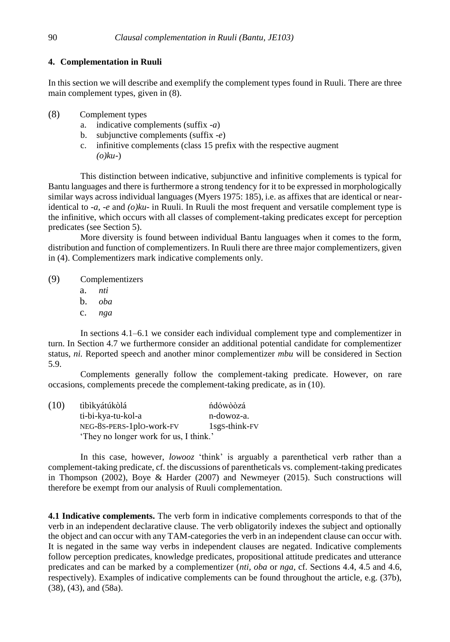# **4. Complementation in Ruuli**

In this section we will describe and exemplify the complement types found in Ruuli. There are three main complement types, given in (8).

- (8) Complement types
	- a. indicative complements (suffix -*a*)
	- b. subjunctive complements (suffix -*e*)
	- c. infinitive complements (class 15 prefix with the respective augment *(o)ku*-)

This distinction between indicative, subjunctive and infinitive complements is typical for Bantu languages and there is furthermore a strong tendency for it to be expressed in morphologically similar ways across individual languages (Myers 1975: 185), i.e. as affixes that are identical or nearidentical to  $-a$ ,  $-e$  and  $(o)ku$ - in Ruuli. In Ruuli the most frequent and versatile complement type is the infinitive, which occurs with all classes of complement-taking predicates except for perception predicates (see Section 5).

More diversity is found between individual Bantu languages when it comes to the form, distribution and function of complementizers. In Ruuli there are three major complementizers, given in (4). Complementizers mark indicative complements only.

- (9) Complementizers
	- a. *nti*
	- b. *oba*
	- c. *nga*

In sections 4.1–6.1 we consider each individual complement type and complementizer in turn. In Section 4.7 we furthermore consider an additional potential candidate for complementizer status, *ni.* Reported speech and another minor complementizer *mbu* will be considered in Section 5.9.

Complements generally follow the complement-taking predicate. However, on rare occasions, complements precede the complement-taking predicate, as in (10).

| (10) | tìbìkyátúkòlá                          | ńdówòòzá                   |  |  |  |
|------|----------------------------------------|----------------------------|--|--|--|
|      | ti-bi-kya-tu-kol-a                     | n-dowoz-a.                 |  |  |  |
|      | NEG-8S-PERS-1plO-work-FV               | 1sg <sub>S</sub> -think-FV |  |  |  |
|      | 'They no longer work for us, I think.' |                            |  |  |  |

In this case, however, *lowooz* 'think' is arguably a parenthetical verb rather than a complement-taking predicate, cf. the discussions of parentheticals vs. complement-taking predicates in Thompson (2002), Boye & Harder (2007) and Newmeyer (2015). Such constructions will therefore be exempt from our analysis of Ruuli complementation.

**4.1 Indicative complements.** The verb form in indicative complements corresponds to that of the verb in an independent declarative clause. The verb obligatorily indexes the subject and optionally the object and can occur with any TAM-categories the verb in an independent clause can occur with. It is negated in the same way verbs in independent clauses are negated. Indicative complements follow perception predicates, knowledge predicates, propositional attitude predicates and utterance predicates and can be marked by a complementizer (*nti*, *oba* or *nga*, cf. Sections 4.4, 4.5 and 4.6, respectively). Examples of indicative complements can be found throughout the article, e.g. (37b), (38), (43), and (58a).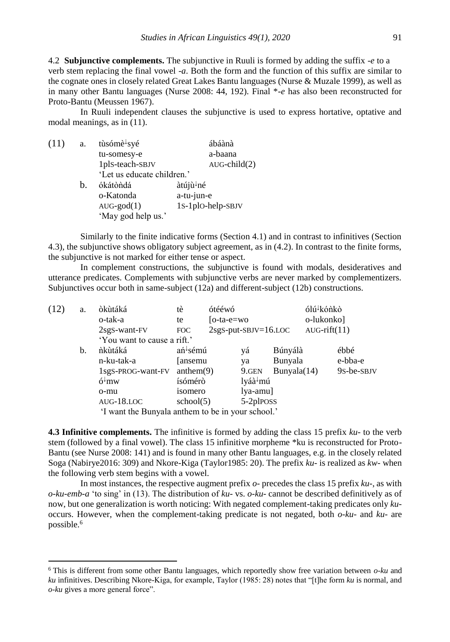4.2 **Subjunctive complements.** The subjunctive in Ruuli is formed by adding the suffix -*e* to a verb stem replacing the final vowel -*a*. Both the form and the function of this suffix are similar to the cognate ones in closely related Great Lakes Bantu languages (Nurse & Muzale 1999), as well as in many other Bantu languages (Nurse 2008: 44, 192). Final \**-e* has also been reconstructed for Proto-Bantu (Meussen 1967).

In Ruuli independent clauses the subjunctive is used to express hortative, optative and modal meanings, as in (11).

| (11) | a. | tùsómè <sup>↓</sup> syé    | ábáànà             |
|------|----|----------------------------|--------------------|
|      |    | tu-somesy-e                | a-baana            |
|      |    | 1plS-teach-SBJV            | $AUG$ -child $(2)$ |
|      |    | 'Let us educate children.' |                    |
|      | h. | ókátòndá                   | àtújù↓né           |
|      |    | o-Katonda                  | a-tu-jun-e         |
|      |    | $AUG-god(1)$               | 1S-1plO-help-SBJV  |
|      |    | 'May god help us.'         |                    |

 $\overline{a}$ 

Similarly to the finite indicative forms (Section 4.1) and in contrast to infinitives (Section 4.3), the subjunctive shows obligatory subject agreement, as in (4.2). In contrast to the finite forms, the subjunctive is not marked for either tense or aspect.

In complement constructions, the subjunctive is found with modals, desideratives and utterance predicates. Complements with subjunctive verbs are never marked by complementizers. Subjunctives occur both in same-subject (12a) and different-subject (12b) constructions.

| (12) | a. | òkùtáká                                           | ótééwó<br>tè                |                                 |                             | ólú <sup>↓</sup> kónkò |                |            |  |  |
|------|----|---------------------------------------------------|-----------------------------|---------------------------------|-----------------------------|------------------------|----------------|------------|--|--|
|      |    | o-tak-a                                           | te                          | $[o-ta-e=wo]$                   |                             |                        | o-lukonko]     |            |  |  |
|      |    | 2sgS-want-FV                                      | FOC                         |                                 | $2sgS$ -put-SBJV= $16$ .LOC |                        | $AUG-rift(11)$ |            |  |  |
|      |    |                                                   | 'You want to cause a rift.' |                                 |                             |                        |                |            |  |  |
|      | b. | ńkùtáká                                           | ań <sup>↓</sup> sémú        |                                 | yá                          | Búnyálà                |                | ébbé       |  |  |
|      |    | n-ku-tak-a                                        | [ansemu]                    |                                 | ya                          | Bunyala                |                | e-bba-e    |  |  |
|      |    | 1sgS-PROG-want-FV                                 | anthem(9)                   |                                 | 9.GEN                       | Bunyala(14)            |                | 9s-be-sbJV |  |  |
|      |    | $6^{\downarrow}$ mw                               |                             | lyáà <sup>↓</sup> mú<br>ísómérò |                             |                        |                |            |  |  |
|      |    | o-mu                                              | isomero                     | $1ya-amu$ ]                     |                             |                        |                |            |  |  |
|      |    | $AUG-18.LOC$                                      | school(5)                   |                                 | 5-2plposs                   |                        |                |            |  |  |
|      |    | 'I want the Bunyala anthem to be in your school.' |                             |                                 |                             |                        |                |            |  |  |

**4.3 Infinitive complements.** The infinitive is formed by adding the class 15 prefix *ku-* to the verb stem (followed by a final vowel). The class 15 infinitive morpheme \*ku is reconstructed for Proto-Bantu (see Nurse 2008: 141) and is found in many other Bantu languages, e.g. in the closely related Soga (Nabirye2016: 309) and Nkore-Kiga (Taylor1985: 20). The prefix *ku-* is realized as *kw-* when the following verb stem begins with a vowel.

In most instances, the respective augment prefix  $\varphi$ - precedes the class 15 prefix  $ku$ -, as with *o-ku-emb-a* 'to sing' in (13). The distribution of *ku-* vs. *o-ku-* cannot be described definitively as of now, but one generalization is worth noticing: With negated complement-taking predicates only *ku*occurs. However, when the complement-taking predicate is not negated, both *o-ku-* and *ku-* are possible.<sup>6</sup>

<sup>6</sup> This is different from some other Bantu languages, which reportedly show free variation between *o-ku* and *ku* infinitives. Describing Nkore-Kiga, for example, Taylor (1985: 28) notes that "[t]he form *ku* is normal, and *o-ku* gives a more general force".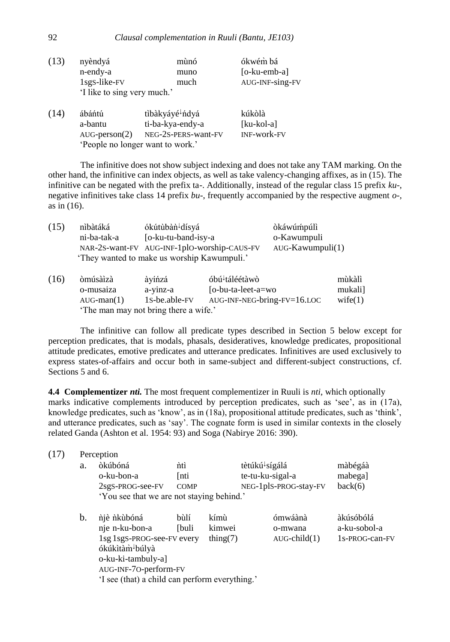| (13) | nyèndyá                     | mùnó                             | ókwém bá        |
|------|-----------------------------|----------------------------------|-----------------|
|      | n-endy-a                    | muno                             | $[o-ku$ -emb-a] |
|      | 1sgS-like-FV                | much                             | AUG-INF-sing-FV |
|      | 'I like to sing very much.' |                                  |                 |
| (14) | ábántú                      | tìbàkyáyé↓ńdyá                   | kúkòlà          |
|      | a-bantu                     | ti-ba-kya-endy-a                 | $[ku-kol-a]$    |
|      | $AUG\text{-person}(2)$      | NEG-2S-PERS-want-FV              | INF-work-FV     |
|      |                             | 'People no longer want to work.' |                 |
|      |                             |                                  |                 |

The infinitive does not show subject indexing and does not take any TAM marking. On the other hand, the infinitive can index objects, as well as take valency-changing affixes, as in (15). The infinitive can be negated with the prefix ta-. Additionally, instead of the regular class 15 prefix *ku*-, negative infinitives take class 14 prefix *bu*-, frequently accompanied by the respective augment *o-,* as in (16).

| (15) | nìbàtáká    | ókútùbàn <sup>↓</sup> dísyá                 | òkáwúmpúlì       |
|------|-------------|---------------------------------------------|------------------|
|      | ni-ba-tak-a | [o-ku-tu-band-isy-a]                        | 0-Kawumpuli      |
|      |             | NAR-2S-want-FV AUG-INF-1plO-worship-CAUS-FV | AUG-Kawumpuli(1) |
|      |             | 'They wanted to make us worship Kawumpuli.' |                  |
|      |             |                                             |                  |

| (16) | òmúsàìzà                              | àyíńzá        | óbú <sup>↓</sup> táléétàwò  | mùkàlì  |  |  |
|------|---------------------------------------|---------------|-----------------------------|---------|--|--|
|      | o-musaiza                             | a-yinz-a      | [o-bu-ta-leet-a=wo]         | mukali] |  |  |
|      | $AUG$ -man $(1)$                      | 1s-be.able-FV | AUG-INF-NEG-bring-FV=16.LOC | wife(1) |  |  |
|      | 'The man may not bring there a wife.' |               |                             |         |  |  |

The infinitive can follow all predicate types described in Section 5 below except for perception predicates, that is modals, phasals, desideratives, knowledge predicates, propositional attitude predicates, emotive predicates and utterance predicates. Infinitives are used exclusively to express states-of-affairs and occur both in same-subject and different-subject constructions, cf. Sections 5 and 6.

**4.4 Complementizer** *nti.* The most frequent complementizer in Ruuli is *nti*, which optionally marks indicative complements introduced by perception predicates, such as 'see', as in (17a), knowledge predicates, such as 'know', as in (18a), propositional attitude predicates, such as 'think', and utterance predicates, such as 'say'. The cognate form is used in similar contexts in the closely related Ganda (Ashton et al. 1954: 93) and Soga (Nabirye 2016: 390).

| (17) |    | Perception                                                                                                                                                                                  |                             |                               |                                                                         |                                             |  |  |
|------|----|---------------------------------------------------------------------------------------------------------------------------------------------------------------------------------------------|-----------------------------|-------------------------------|-------------------------------------------------------------------------|---------------------------------------------|--|--|
|      | a. | òkúbóná<br>o-ku-bon-a<br>2sgS-PROG-see-FV<br>'You see that we are not staying behind.'                                                                                                      | nti<br>[nti]<br><b>COMP</b> |                               | tètúkú <sup>↓</sup> sígálá<br>te-tu-ku-sigal-a<br>NEG-1plS-PROG-stay-FV | màbégáà<br>mabega]<br>back(6)               |  |  |
|      | b. | njè nkubóná<br>nje n-ku-bon-a<br>1sg 1sgS-PROG-see-FV every<br>ókúkìtàm <sup>↓</sup> búlyà<br>o-ku-ki-tambuly-a]<br>AUG-INF-70-perform-FV<br>'I see (that) a child can perform everything.' | bùlí<br>[buli               | kímù<br>kimwei<br>thing $(7)$ | ómwáànà<br>o-mwana<br>$AUG$ -child $(1)$                                | àkúsóbólá<br>a-ku-sobol-a<br>1s-PROG-can-FV |  |  |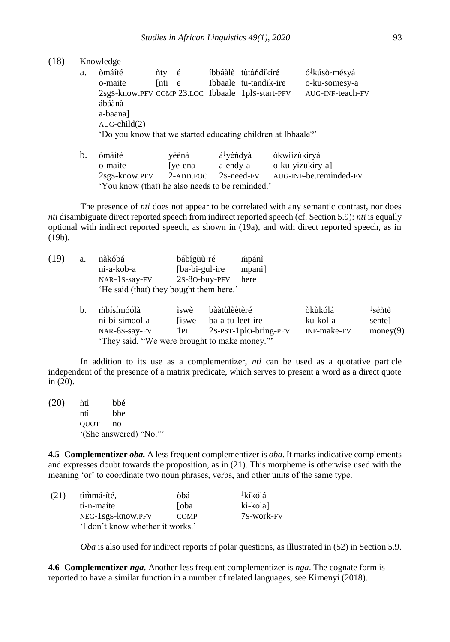(18) Knowledge

| a. | òmáíté                                           | $n$ ty $\acute{e}$ |              | íbbáàlè tùtándíkíré                                          | ó <sup>↓</sup> kúsò <sup>↓</sup> mésyá |
|----|--------------------------------------------------|--------------------|--------------|--------------------------------------------------------------|----------------------------------------|
|    | o-maite                                          | <b>Inti</b>        | $^{\circ}$ e | Ibbaale tu-tandik-ire                                        | o-ku-somesy-a                          |
|    | 2sgS-know.PFV COMP 23.LOC Ibbaale 1plS-start-PFV |                    |              |                                                              | AUG-INF-teach-FV                       |
|    | ábáànà                                           |                    |              |                                                              |                                        |
|    | a-baana]                                         |                    |              |                                                              |                                        |
|    | $AUG$ -child $(2)$                               |                    |              |                                                              |                                        |
|    |                                                  |                    |              | 'Do you know that we started educating children at Ibbaale?' |                                        |
|    |                                                  |                    |              |                                                              |                                        |

b. òmáíté vééná á<sup>l</sup>yéńdyá ókwíìzùkìryá o-maite [ye-ena a-endy-a o-ku-yizukiry-a] 2sgS-know.PFV 2-ADD.FOC 2S-need-FV AUG-INF-be.reminded-FV 'You know (that) he also needs to be reminded.'

The presence of *nti* does not appear to be correlated with any semantic contrast, nor does *nti* disambiguate direct reported speech from indirect reported speech (cf. Section 5.9): *nti* is equally optional with indirect reported speech, as shown in (19a), and with direct reported speech, as in (19b).

| (19) | a. | nàkóbá<br>ni-a-kob-a<br>NAR-1S-say-FV   | bábígùù <sup>↓</sup> ré<br>[ba-bi-gul-ire] | mpánì<br>mpani<br>2s-80-buy-PFV<br>here      |             |                     |
|------|----|-----------------------------------------|--------------------------------------------|----------------------------------------------|-------------|---------------------|
|      |    | 'He said (that) they bought them here.' |                                            |                                              |             |                     |
|      | b. | mbísímóólà                              | iswè                                       | bààtùlèètèré                                 | òkùkólá     | $\frac{1}{2}$ séntè |
|      |    | ni-bi-simool-a                          | <i>swe</i>                                 | ba-a-tu-leet-ire                             | ku-kol-a    | sentel              |
|      |    | NAR-8S-say-FV                           | 1PL                                        | $2s$ -PST-1plO-bring-PFV                     | INF-make-FV | money(9)            |
|      |    |                                         |                                            | 'They said, "We were brought to make money." |             |                     |

In addition to its use as a complementizer, *nti* can be used as a quotative particle independent of the presence of a matrix predicate, which serves to present a word as a direct quote in (20).

 $(20)$   $\hat{n}$ tì bbé nti bbe QUOT no '(She answered) "No."'

**4.5 Complementizer** *oba.* A less frequent complementizer is *oba*. It marks indicative complements and expresses doubt towards the proposition, as in (21). This morpheme is otherwise used with the meaning 'or' to coordinate two noun phrases, verbs, and other units of the same type.

| (21) | tìmmá fté,                       | òbá          | ∤kíkólá    |
|------|----------------------------------|--------------|------------|
|      | ti-n-maite                       | <b>S</b> oba | ki-kola]   |
|      | NEG-1sgS-know.PFV                | <b>COMP</b>  | 7S-work-FV |
|      | 'I don't know whether it works.' |              |            |

*Oba* is also used for indirect reports of polar questions, as illustrated in (52) in Section 5.9.

**4.6 Complementizer** *nga.* Another less frequent complementizer is *nga*. The cognate form is reported to have a similar function in a number of related languages, see Kimenyi (2018).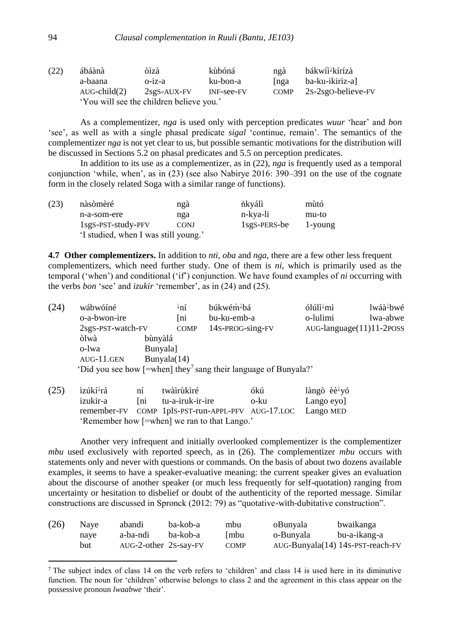| (22) | ábáànà                                   | òìzà          | kùbóná     | ngà         | bákwíì <sup>↓</sup> kírízà |  |  |
|------|------------------------------------------|---------------|------------|-------------|----------------------------|--|--|
|      | a-baana                                  | $o$ -iz-a     | ku-bon-a   | nga         | ba-ku-ikiriz-al            |  |  |
|      | $AUG$ -child $(2)$                       | $2sgS-AUX-FV$ | INF-see-FV | <b>COMP</b> | 2s-2sgo-believe-FV         |  |  |
|      | 'You will see the children believe you.' |               |            |             |                            |  |  |

As a complementizer, *nga* is used only with perception predicates *wuur* 'hear' and *bon* 'see', as well as with a single phasal predicate *sigal* 'continue, remain'. The semantics of the complementizer *nga* is not yet clear to us, but possible semantic motivations for the distribution will be discussed in Sections 5.2 on phasal predicates and 5.5 on perception predicates.

In addition to its use as a complementizer, as in (22), *nga* is frequently used as a temporal conjunction 'while, when', as in (23) (see also Nabirye 2016: 390–391 on the use of the cognate form in the closely related Soga with a similar range of functions).

| (23) | nàsòmèré                             | ngà         | nkváli       | mùtó    |
|------|--------------------------------------|-------------|--------------|---------|
|      | n-a-som-ere                          | nga         | n-kya-li     | mu-to   |
|      | $1$ sgS-PST-study-PFV                | <b>CONJ</b> | 1sgS-PERS-be | 1-young |
|      | 'I studied, when I was still young.' |             |              |         |

**4.7 Other complementizers.** In addition to *nti*, *oba* and *nga*, there are a few other less frequent complementizers, which need further study. One of them is *ni*, which is primarily used as the temporal ('when') and conditional ('if') conjunction. We have found examples of *ni* occurring with the verbs *bon* 'see' and *izukir* 'remember', as in (24) and (25).

| (24) | wábwóíné     |                   | ↓ní         | búkwém <sup>↓</sup> bá                                                        | $6$ lúlì mì | lwáà <sup>↓</sup> bwé           |
|------|--------------|-------------------|-------------|-------------------------------------------------------------------------------|-------------|---------------------------------|
|      | o-a-bwon-ire |                   | ∫ni         | bu-ku-emb-a                                                                   | o-lulimi    | lwa-abwe                        |
|      |              | 2sgS-PST-watch-FV |             | 14S-PROG-sing-FV                                                              |             | $AUG$ -language $(11)11$ -2POSS |
|      | òlwà         | bùnyàlá           |             |                                                                               |             |                                 |
|      | o-lwa        | <b>Bunyala</b>    |             |                                                                               |             |                                 |
|      | $AUG-11.GEN$ |                   | Bunyala(14) |                                                                               |             |                                 |
|      |              |                   |             | 'Did you see how $[=when]$ they <sup>7</sup> sang their language of Bunyala?' |             |                                 |

| (25) | ìzúkí <sup>↓</sup> rá                        | ní | twàìrùkìré                                                  | ókú  | làngò èè <sup>↓</sup> yó |  |
|------|----------------------------------------------|----|-------------------------------------------------------------|------|--------------------------|--|
|      | izukir-a                                     |    | Ini tu-a-iruk-ir-ire                                        | o-ku | Lango eyo]               |  |
|      |                                              |    | remember-FV COMP 1pls-PST-run-APPL-PFV AUG-17.LOC Lango MED |      |                          |  |
|      | 'Remember how [=when] we ran to that Lango.' |    |                                                             |      |                          |  |

Another very infrequent and initially overlooked complementizer is the complementizer *mbu* used exclusively with reported speech, as in (26). The complementizer *mbu* occurs with statements only and never with questions or commands. On the basis of about two dozens available examples, it seems to have a speaker-evaluative meaning: the current speaker gives an evaluation about the discourse of another speaker (or much less frequently for self-quotation) ranging from uncertainty or hesitation to disbelief or doubt of the authenticity of the reported message. Similar constructions are discussed in Spronck (2012: 79) as "quotative-with-dubitative construction".

| (26) | Nave | abandi                | ba-kob-a | mbu         | oBunyala  | bwaikanga                        |
|------|------|-----------------------|----------|-------------|-----------|----------------------------------|
|      | naye | a-ba-ndi              | ba-kob-a | <b>Imbu</b> | o-Bunyala | bu-a-ikang-a                     |
|      | but  | AUG-2-other 2S-say-FV |          | <b>COMP</b> |           | AUG-Bunyala(14) 14S-PST-reach-FV |

<sup>7</sup> The subject index of class 14 on the verb refers to 'children' and class 14 is used here in its diminutive function. The noun for 'children' otherwise belongs to class 2 and the agreement in this class appear on the possessive pronoun *lwaabwe* 'their'.

 $\overline{a}$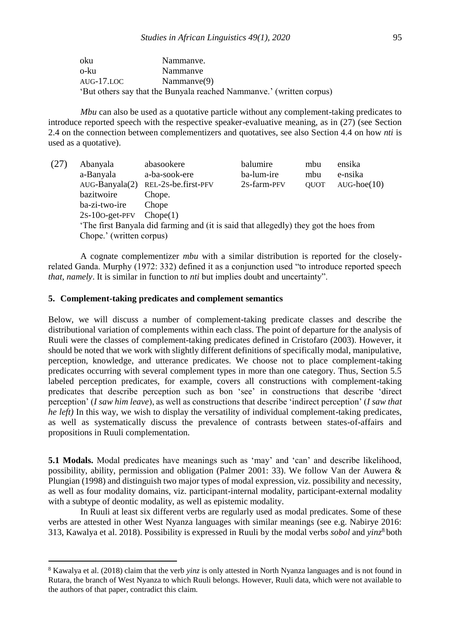| oku        | Nammanye.                                                            |
|------------|----------------------------------------------------------------------|
| o-ku       | Nammanye                                                             |
| aug-17.loc | Nammanve(9)                                                          |
|            | 'But others say that the Bunyala reached Nammanve.' (written corpus) |

*Mbu* can also be used as a quotative particle without any complement-taking predicates to introduce reported speech with the respective speaker-evaluative meaning, as in (27) (see Section 2.4 on the connection between complementizers and quotatives, see also Section 4.4 on how *nti* is used as a quotative).

(27) Abanyala abasookere balumire mbu ensika a-Banyala a-ba-sook-ere ba-lum-ire mbu e-nsika AUG-Banyala(2) REL-2S-be.first-PFV 2S-farm-PFV QUOT AUG-hoe(10) bazitwoire Chope. ba-zi-two-ire Chope 2S-10O-get-PFV Chope(1) 'The first Banyala did farming and (it is said that allegedly) they got the hoes from Chope.' (written corpus)

A cognate complementizer *mbu* with a similar distribution is reported for the closelyrelated Ganda. Murphy (1972: 332) defined it as a conjunction used "to introduce reported speech *that*, *namely*. It is similar in function to *nti* but implies doubt and uncertainty".

## **5. Complement-taking predicates and complement semantics**

 $\overline{a}$ 

Below, we will discuss a number of complement-taking predicate classes and describe the distributional variation of complements within each class. The point of departure for the analysis of Ruuli were the classes of complement-taking predicates defined in Cristofaro (2003). However, it should be noted that we work with slightly different definitions of specifically modal, manipulative, perception, knowledge, and utterance predicates. We choose not to place complement-taking predicates occurring with several complement types in more than one category. Thus, Section 5.5 labeled perception predicates, for example, covers all constructions with complement-taking predicates that describe perception such as bon 'see' in constructions that describe 'direct perception' (*I saw him leave*), as well as constructions that describe 'indirect perception' (*I saw that he left)* In this way, we wish to display the versatility of individual complement-taking predicates, as well as systematically discuss the prevalence of contrasts between states-of-affairs and propositions in Ruuli complementation.

**5.1 Modals.** Modal predicates have meanings such as 'may' and 'can' and describe likelihood, possibility, ability, permission and obligation (Palmer 2001: 33). We follow Van der Auwera & Plungian (1998) and distinguish two major types of modal expression, viz. possibility and necessity, as well as four modality domains, viz. participant-internal modality, participant-external modality with a subtype of deontic modality, as well as epistemic modality.

In Ruuli at least six different verbs are regularly used as modal predicates. Some of these verbs are attested in other West Nyanza languages with similar meanings (see e.g. Nabirye 2016: 313, Kawalya et al. 2018). Possibility is expressed in Ruuli by the modal verbs *sobol* and *yinz*<sup>8</sup> both

<sup>8</sup> Kawalya et al. (2018) claim that the verb *yinz* is only attested in North Nyanza languages and is not found in Rutara, the branch of West Nyanza to which Ruuli belongs. However, Ruuli data, which were not available to the authors of that paper, contradict this claim.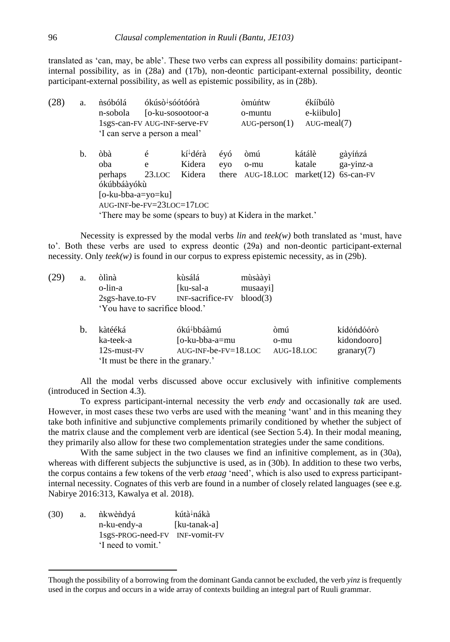translated as 'can, may, be able'. These two verbs can express all possibility domains: participantinternal possibility, as in (28a) and (17b), non-deontic participant-external possibility, deontic participant-external possibility, as well as epistemic possibility, as in (28b).

| (28) | a. | nsóbólá<br>n-sobola<br>1sgS-can-FV AUG-INF-serve-FV<br>'I can serve a person a meal'      | ókúsò <sup>↓</sup> sóótóórà | [o-ku-sosootoor-a                        |            | òmúńtw<br>o-muntu<br>$AUG\text{-person}(1)$         | ékííbúlò<br>e-kiibulo]<br>$AUG$ -meal $(7)$ |                                   |
|------|----|-------------------------------------------------------------------------------------------|-----------------------------|------------------------------------------|------------|-----------------------------------------------------|---------------------------------------------|-----------------------------------|
|      | b. | òbà<br>oba<br>perhaps<br>ókúbbáàyókù<br>[o-ku-bba-a=yo=ku]<br>$AUG-INF-be-FV=23LOC=17LOC$ | é<br>e<br>$23.$ LOC         | kí <sup>↓</sup> dérà<br>Kidera<br>Kidera | évó<br>evo | òmú<br>o-mu<br>there $\text{AUG-18.LOC}$ market(12) | kátálè<br>katale                            | gàyíńzá<br>ga-yinz-a<br>6S-can-FV |
|      |    | 'There may be some (spears to buy) at Kidera in the market.'                              |                             |                                          |            |                                                     |                                             |                                   |

Necessity is expressed by the modal verbs  $\lim_{n \to \infty} \frac{d}{dx}$  both translated as 'must, have to'. Both these verbs are used to express deontic (29a) and non-deontic participant-external necessity. Only *teek(w)* is found in our corpus to express epistemic necessity, as in (29b).

| (29 | a. | òlìnà                              | kùsálá                  | mùsààyì    |             |
|-----|----|------------------------------------|-------------------------|------------|-------------|
|     |    | o-lin-a                            | [ku-sal-a               | musaayi]   |             |
|     |    | 2sgS-have.to-FV                    | INF-sacrifice-FV        | blood(3)   |             |
|     |    | 'You have to sacrifice blood.'     |                         |            |             |
|     | b. | kàtééká                            | ókú <sup>↓</sup> bbáàmú | òmú        | kídóńdóórò  |
|     |    | ka-teek-a                          | [o-ku-bba-a=mu          | o-mu       | kidondooro] |
|     |    | 12s-must-FV                        | $AUG-INF-be-FV=18.LOC$  | AUG-18.LOC | granary(7)  |
|     |    | 'It must be there in the granary.' |                         |            |             |

All the modal verbs discussed above occur exclusively with infinitive complements (introduced in Section 4.3).

To express participant-internal necessity the verb *endy* and occasionally *tak* are used. However, in most cases these two verbs are used with the meaning 'want' and in this meaning they take both infinitive and subjunctive complements primarily conditioned by whether the subject of the matrix clause and the complement verb are identical (see Section 5.4). In their modal meaning, they primarily also allow for these two complementation strategies under the same conditions.

With the same subject in the two clauses we find an infinitive complement, as in (30a), whereas with different subjects the subjunctive is used, as in (30b). In addition to these two verbs, the corpus contains a few tokens of the verb *etaag* 'need', which is also used to express participantinternal necessity. Cognates of this verb are found in a number of closely related languages (see e.g. Nabirye 2016:313, Kawalya et al. 2018).

| (30) | a. | nkwèndyá           | kútà <sup>↓</sup> nákà |
|------|----|--------------------|------------------------|
|      |    | n-ku-endy-a        | [ku-tanak-a]           |
|      |    | 1sgS-PROG-need-FV  | INF-vomit-FV           |
|      |    | 'I need to vomit.' |                        |

 $\overline{a}$ 

Though the possibility of a borrowing from the dominant Ganda cannot be excluded, the verb *yinz* is frequently used in the corpus and occurs in a wide array of contexts building an integral part of Ruuli grammar.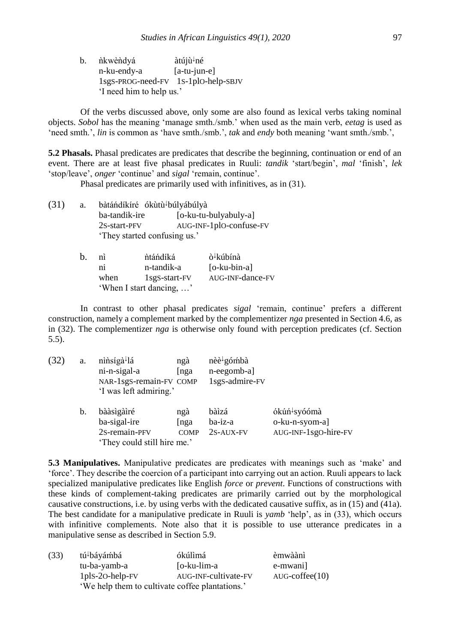| b. | ňkwèndyá                            | àtújù↓né       |  |  |
|----|-------------------------------------|----------------|--|--|
|    | n-ku-endy-a                         | $[a-tu-jun-e]$ |  |  |
|    | 1sgS-PROG-need-FV 1S-1plO-help-SBJV |                |  |  |
|    | 'I need him to help us.'            |                |  |  |

Of the verbs discussed above, only some are also found as lexical verbs taking nominal objects. *Sobol* has the meaning 'manage smth./smb.' when used as the main verb, *eetag* is used as 'need smth.', *lin* is common as 'have smth./smb.', *tak* and *endy* both meaning 'want smth./smb.',

**5.2 Phasals.** Phasal predicates are predicates that describe the beginning, continuation or end of an event. There are at least five phasal predicates in Ruuli: *tandik* 'start/begin', *mal* 'finish', *lek* 'stop/leave', *onger* 'continue' and *sigal* 'remain, continue'.

Phasal predicates are primarily used with infinitives, as in (31).

| (31) | a. | bàtándíkíré ókùtù <sup>l</sup> búlyábúlyà |                         |
|------|----|-------------------------------------------|-------------------------|
|      |    | ba-tandik-ire                             | [o-ku-tu-bulyabuly-a]   |
|      |    | 2S-start-PFV                              | AUG-INF-1plO-confuse-FV |
|      |    | 'They started confusing us.'              |                         |

| b. | nì   | ntándíká                 | ò <sup>↓</sup> kúbínà |
|----|------|--------------------------|-----------------------|
|    | nı   | n-tandik-a               | $[o-ku-bin-a]$        |
|    | when | 1sgS-start-FV            | AUG-INF-dance-FV      |
|    |      | 'When I start dancing, ' |                       |

In contrast to other phasal predicates *sigal* 'remain, continue' prefers a different construction, namely a complement marked by the complementizer *nga* presented in Section 4.6, as in (32). The complementizer *nga* is otherwise only found with perception predicates (cf. Section 5.5).

| (32) | a. | ninsíga <sup>1</sup> lá     | ngà         | $n\grave{e}e^{\downarrow}$ gómbà |                          |
|------|----|-----------------------------|-------------|----------------------------------|--------------------------|
|      |    | ni-n-sigal-a                | [nga        | n-eegomb-a]                      |                          |
|      |    | NAR-1sgS-remain-FV COMP     |             | 1sgS-admire-FV                   |                          |
|      |    | 'I was left admiring.'      |             |                                  |                          |
|      | b. | bààsìgàiré                  | ngà         | bàìzá                            | ókúń <sup>↓</sup> syóómà |
|      |    | ba-sigal-ire                | nga         | ba-iz-a                          | o-ku-n-syom-a]           |
|      |    | 2s-remain-PFV               | <b>COMP</b> | 2S-AUX-FV                        | AUG-INF-1sgO-hire-FV     |
|      |    | 'They could still hire me.' |             |                                  |                          |

**5.3 Manipulatives.** Manipulative predicates are predicates with meanings such as 'make' and 'force'. They describe the coercion of a participant into carrying out an action. Ruuli appears to lack specialized manipulative predicates like English *force* or *prevent*. Functions of constructions with these kinds of complement-taking predicates are primarily carried out by the morphological causative constructions, i.e. by using verbs with the dedicated causative suffix, as in (15) and (41a). The best candidate for a manipulative predicate in Ruuli is *yamb* 'help', as in (33), which occurs with infinitive complements. Note also that it is possible to use utterance predicates in a manipulative sense as described in Section 5.9.

| (33) | tú <sup>↓</sup> báyámbá | ókúlìmá                                         | èmwàànì                 |
|------|-------------------------|-------------------------------------------------|-------------------------|
|      | tu-ba-yamb-a            | [o-ku-lim-a                                     | e-mwani                 |
|      | $1$ pls-20-help- $FV$   | AUG-INF-cultivate-FV                            | $AUG\text{-coffee}(10)$ |
|      |                         | 'We help them to cultivate coffee plantations.' |                         |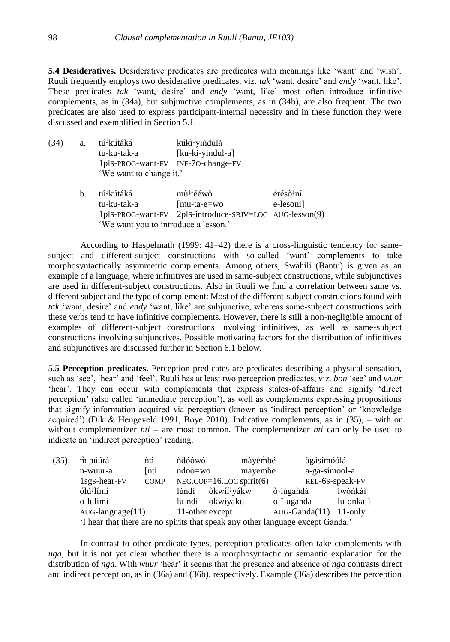**5.4 Desideratives.** Desiderative predicates are predicates with meanings like 'want' and 'wish'. Ruuli frequently employs two desiderative predicates, viz. *tak* 'want, desire' and *endy* 'want, like'. These predicates *tak* 'want, desire' and *endy* 'want, like' most often introduce infinitive complements, as in (34a), but subjunctive complements, as in (34b), are also frequent. The two predicates are also used to express participant-internal necessity and in these function they were discussed and exemplified in Section 5.1.

- (34) a. tú<sup>↓</sup>kútáká kúkì<sup>↓</sup>yíndúlà tu-ku-tak-a [ku-ki-yindul-a] 1plS-PROG-want-FV INF-7O-change-FV 'We want to change it.'
	- b. tú<sup>↓</sup>kútáká mù<sup>↓</sup>tééwò érésò<sup>↓</sup>ní tu-ku-tak-a [mu-ta-e=wo e-lesoni] 1plS-PROG-want-FV 2plS-introduce-SBJV=LOC AUG-lesson(9) 'We want you to introduce a lesson.'

According to Haspelmath (1999: 41–42) there is a cross-linguistic tendency for samesubject and different-subject constructions with so-called 'want' complements to take morphosyntactically asymmetric complements. Among others, Swahili (Bantu) is given as an example of a language, where infinitives are used in same-subject constructions, while subjunctives are used in different-subject constructions. Also in Ruuli we find a correlation between same vs. different subject and the type of complement: Most of the different-subject constructions found with *tak* 'want, desire' and *endy* 'want, like' are subjunctive, whereas same-subject constructions with these verbs tend to have infinitive complements. However, there is still a non-negligible amount of examples of different-subject constructions involving infinitives, as well as same-subject constructions involving subjunctives. Possible motivating factors for the distribution of infinitives and subjunctives are discussed further in Section 6.1 below.

**5.5 Perception predicates.** Perception predicates are predicates describing a physical sensation, such as 'see', 'hear' and 'feel'. Ruuli has at least two perception predicates, viz. *bon* 'see' and *wuur* 'hear'. They can occur with complements that express states-of-affairs and signify 'direct perception' (also called 'immediate perception'), as well as complements expressing propositions that signify information acquired via perception (known as 'indirect perception' or 'knowledge acquired') (Dik & Hengeveld 1991, Boye 2010). Indicative complements, as in  $(35)$ , – with or without complementizer *nti* – are most common. The complementizer *nti* can only be used to indicate an 'indirect perception' reading.

| (35) | m púúrá<br>nti                                                  |                        | màyèmbé<br>ndóówó |                                                                              | àgásímóólá             |                 |            |
|------|-----------------------------------------------------------------|------------------------|-------------------|------------------------------------------------------------------------------|------------------------|-----------------|------------|
|      | n-wuur-a                                                        | <b>Inti</b>            | $ndoo=wo$         | mayembe                                                                      |                        | a-ga-simool-a   |            |
|      | $NEG.COP=16.LOC$ spirit(6)<br>$1sgS$ -hear- $FV$<br><b>COMP</b> |                        |                   |                                                                              | REL-6S-speak-FV        |                 |            |
|      | ólú <sup>↓</sup> límí                                           |                        | lúndì             | òkwíí <sup>↓</sup> yákw                                                      | ò <sup>↓</sup> lúgàndà |                 | lwóńkàì    |
|      | o-lulimi                                                        |                        | lu-ndi            | okwiyaku                                                                     | o-Luganda              |                 | lu-onkai]  |
|      |                                                                 | $AUG$ -language $(11)$ |                   | 11-other except                                                              |                        | $AUG-Ganda(11)$ | $11$ -only |
|      |                                                                 |                        |                   | I hear that there are no spirits that speak any other language except Ganda? |                        |                 |            |

'I hear that there are no spirits that speak any other language except Ganda.'

In contrast to other predicate types, perception predicates often take complements with *nga*, but it is not yet clear whether there is a morphosyntactic or semantic explanation for the distribution of *nga*. With *wuur* 'hear' it seems that the presence and absence of *nga* contrasts direct and indirect perception, as in (36a) and (36b), respectively. Example (36a) describes the perception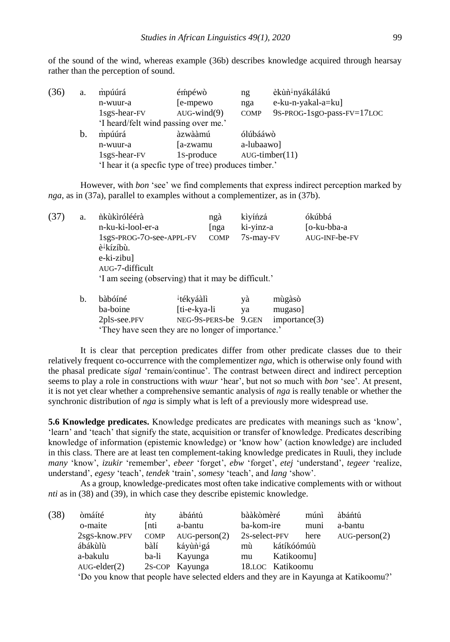of the sound of the wind, whereas example (36b) describes knowledge acquired through hearsay rather than the perception of sound.

| (36) | a. | mpúúrá                                                | émpéwò            | ng          | èkùn <sup>↓</sup> nyákálákú |  |  |
|------|----|-------------------------------------------------------|-------------------|-------------|-----------------------------|--|--|
|      |    | n-wuur-a                                              | [e-mpewo]         | nga         | e-ku-n-yakal-a=ku]          |  |  |
|      |    | $1sgS$ -hear- $FV$                                    | $AUG$ -wind $(9)$ | <b>COMP</b> | 9S-PROG-1sgO-pass-FV=17LOC  |  |  |
|      |    | 'I heard/felt wind passing over me.'                  |                   |             |                             |  |  |
|      | b. | mpúúrá                                                | àzwààmú           | ólúbááwò    |                             |  |  |
|      |    | n-wuur-a                                              | [a-zwamu          | a-lubaawo]  |                             |  |  |
|      |    | $1sgS$ -hear- $FV$                                    | 1s-produce        |             | $AUG$ -timber $(11)$        |  |  |
|      |    | 'I hear it (a specfic type of tree) produces timber.' |                   |             |                             |  |  |

However, with *bon* 'see' we find complements that express indirect perception marked by *nga*, as in (37a), parallel to examples without a complementizer, as in (37b).

| (37) | a. | ńkùkìróléérà                                        | ngà         | kìyíńzá   | ókúbbá        |
|------|----|-----------------------------------------------------|-------------|-----------|---------------|
|      |    | n-ku-ki-lool-er-a                                   | [nga        | ki-yinz-a | [o-ku-bba-a   |
|      |    | 1sgS-PROG-70-see-APPL-FV                            | <b>COMP</b> | 7s-may-FV | AUG-INF-be-FV |
|      |    | è <sup>↓</sup> kízíbù.                              |             |           |               |
|      |    | e-ki-zibu]                                          |             |           |               |
|      |    | AUG-7-difficult                                     |             |           |               |
|      |    | 'I am seeing (observing) that it may be difficult.' |             |           |               |
|      |    |                                                     |             |           |               |

| b. | bàbóíné                                            | ∤tékváàlì            | yà | mùgàsò        |
|----|----------------------------------------------------|----------------------|----|---------------|
|    | ba-boine                                           | [ti-e-kya-li]        | va | mugaso]       |
|    | 2plS-see.PFV                                       | NEG-9S-PERS-be 9.GEN |    | importance(3) |
|    | 'They have seen they are no longer of importance.' |                      |    |               |

It is clear that perception predicates differ from other predicate classes due to their relatively frequent co-occurrence with the complementizer *nga*, which is otherwise only found with the phasal predicate *sigal* 'remain/continue'. The contrast between direct and indirect perception seems to play a role in constructions with *wuur* 'hear', but not so much with *bon* 'see'. At present, it is not yet clear whether a comprehensive semantic analysis of *nga* is really tenable or whether the synchronic distribution of *nga* is simply what is left of a previously more widespread use.

**5.6 Knowledge predicates.** Knowledge predicates are predicates with meanings such as 'know', 'learn' and 'teach' that signify the state, acquisition or transfer of knowledge. Predicates describing knowledge of information (epistemic knowledge) or 'know how' (action knowledge) are included in this class. There are at least ten complement-taking knowledge predicates in Ruuli, they include *many* 'know', *izukir* 'remember', *ebeer* 'forget', *ebw* 'forget', *etej* 'understand', *tegeer* 'realize, understand', *egesy* 'teach', *tendek* 'train', *somesy* 'teach', and *lang* 'show'.

As a group, knowledge-predicates most often take indicative complements with or without *nti* as in (38) and (39), in which case they describe epistemic knowledge.

| (38) | òmáíté             | nty         | àbántú                                                                             | bààkòmèré     |                  | múnì | àbántú                 |
|------|--------------------|-------------|------------------------------------------------------------------------------------|---------------|------------------|------|------------------------|
|      | o-maite            | Inti        | a-bantu                                                                            | ba-kom-ire    |                  | muni | a-bantu                |
|      | 2sgS-know.PFV      | <b>COMP</b> | $AUG\text{-person}(2)$                                                             | 2s-select-PFV |                  | here | $AUG\text{-person}(2)$ |
|      | ábákùlù            | bàlí        | káyùn <sup>↓</sup> gá                                                              | mù            | kátíkóómúù       |      |                        |
|      | a-bakulu           | ba-li       | Kayunga                                                                            | mu            | Katikoomu]       |      |                        |
|      | $AUG$ -elder $(2)$ |             | 2S-COP Kayunga                                                                     |               | 18.LOC Katikoomu |      |                        |
|      |                    |             | To you know that people have selected elders and they are in Kayunga at Katikoomu? |               |                  |      |                        |

'Do you know that people have selected elders and they are in Kayunga at Katikoomu?'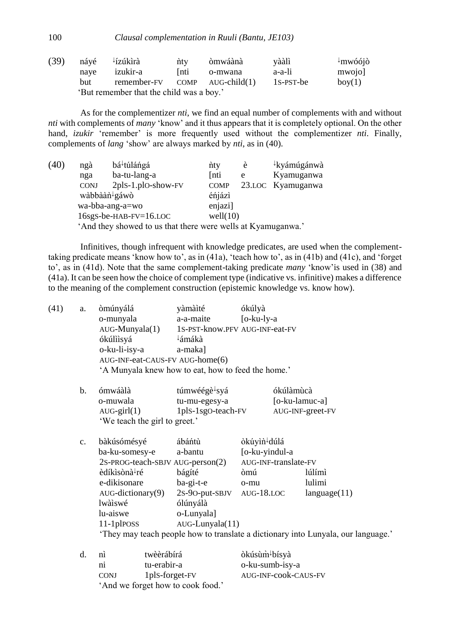100 *Clausal complementation in Ruuli (Bantu, JE103)*

| (39) | návé | ∤ízúkìrà                                 | nty         | òmwáànà | vààlì     | $\pm$ mwóójò |
|------|------|------------------------------------------|-------------|---------|-----------|--------------|
|      | nave | izukir-a                                 | <b>Inti</b> | o-mwana | a-a-li    | mwojol       |
|      | but  | remember-FV COMP AUG-child(1)            |             |         | 1s-PST-be | box(1)       |
|      |      | 'But remember that the child was a boy.' |             |         |           |              |

As for the complementizer *nti*, we find an equal number of complements with and without *nti* with complements of *many* 'know' and it thus appears that it is completely optional. On the other hand, *izukir* 'remember' is more frequently used without the complementizer *nti*. Finally, complements of *lang* 'show' are always marked by *nti*, as in (40).

| (40) | ngà         | bá <sup>↓</sup> túláńgá                                      | nty         | è | ↓kyámúgánwà       |
|------|-------------|--------------------------------------------------------------|-------------|---|-------------------|
|      | nga         | ba-tu-lang-a                                                 | [nti        | e | Kyamuganwa        |
|      | <b>CONJ</b> | 2plS-1.plO-show-FV                                           | <b>COMP</b> |   | 23.LOC Kyamuganwa |
|      |             | wàbbààn <sup>↓</sup> gáwò                                    | éńjázì      |   |                   |
|      |             | wa-bba-ang-a=wo                                              | enjazi]     |   |                   |
|      |             | 16sgs-be-HAB-FV=16.LOC                                       | well(10)    |   |                   |
|      |             | 'And they showed to us that there were wells at Kyamuganwa.' |             |   |                   |

Infinitives, though infrequent with knowledge predicates, are used when the complementtaking predicate means 'know how to', as in (41a), 'teach how to', as in (41b) and (41c), and 'forget to', as in (41d). Note that the same complement-taking predicate *many* 'know'is used in (38) and (41a). It can be seen how the choice of complement type (indicative vs. infinitive) makes a difference to the meaning of the complement construction (epistemic knowledge vs. know how).

| (41) | a.             | òmúnyálá<br>o-munyala<br>$AUG$ -Munyala $(1)$<br>ókúlììsyá<br>o-ku-li-isy-a<br>AUG-INF-eat-CAUS-FV AUG-home(6)<br>'A Munyala knew how to eat, how to feed the home.'                | yàmàìté<br>a-a-maite<br>∤ámákà<br>a-maka]                                             | ókúlyà<br>$[o-ku-ly-a]$<br>1S-PST-know.PFV AUG-INF-eat-FV                                         |                                                                                                                       |
|------|----------------|-------------------------------------------------------------------------------------------------------------------------------------------------------------------------------------|---------------------------------------------------------------------------------------|---------------------------------------------------------------------------------------------------|-----------------------------------------------------------------------------------------------------------------------|
|      | $\mathbf{b}$ . | ómwáàlà<br>o-muwala<br>$AUG$ -girl $(1)$<br>'We teach the girl to greet.'                                                                                                           | túmwéégè <sup>↓</sup> syá<br>tu-mu-egesy-a<br>1pls-1sgO-teach-FV                      | ókúlàmùcà                                                                                         | $[o-ku$ -lamuc-a]<br>AUG-INF-greet-FV                                                                                 |
|      | c.             | bàkúsómésyé<br>ba-ku-somesy-e<br>2S-PROG-teach-SBJV AUG-person(2)<br>èdíkìsònà <sup>↓</sup> ré<br>e-dikisonare<br>AUG-dictionary(9)<br>lwàìswé<br>lu-aiswe<br>$11$ -1 $p$ $P$ $OSS$ | ábáńtù<br>a-bantu<br>bágíté<br>ba-gi-t-e<br>ólúnyálà<br>o-Lunyala]<br>AUG-Lunyala(11) | òkúyìn dúlá<br>[o-ku-yindul-a<br>AUG-INF-translate-FV<br>òmú<br>o-mu<br>2s-9o-put-SBJV AUG-18.LOC | lúlímì<br>lulimi<br>language(11)<br>'They may teach people how to translate a dictionary into Lunyala, our language.' |
|      | $d_{\cdot}$    | twèèrábírá<br>nì                                                                                                                                                                    |                                                                                       | òkúsùm <sup>↓</sup> bísyà                                                                         |                                                                                                                       |

| .           | 1.1111                            | $\cdot$ |
|-------------|-----------------------------------|---------|
| nı          | tu-erabir-a                       | O       |
| <b>CONJ</b> | 1pls-forget-FV                    | A       |
|             | 'And we forget how to cook food.' |         |

-ku-sumb-isy-a UG-INF-cook-CAUS-FV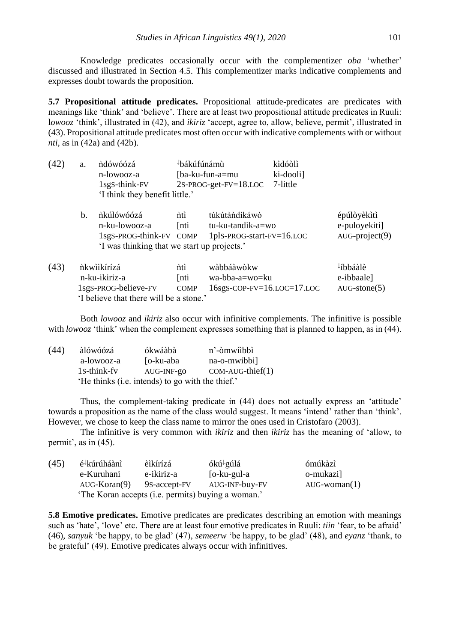Knowledge predicates occasionally occur with the complementizer *oba* 'whether' discussed and illustrated in Section 4.5. This complementizer marks indicative complements and expresses doubt towards the proposition.

**5.7 Propositional attitude predicates.** Propositional attitude-predicates are predicates with meanings like 'think' and 'believe'. There are at least two propositional attitude predicates in Ruuli: l*owooz* 'think', illustrated in (42), and *ikiriz* 'accept, agree to, allow, believe, permit', illustrated in (43). Propositional attitude predicates most often occur with indicative complements with or without *nti*, as in (42a) and (42b).

| (42) | a. | ndówóózá                                                                                              | ↓bákúfúnámù                |                                                                       | kìdóòlì   |                                                  |
|------|----|-------------------------------------------------------------------------------------------------------|----------------------------|-----------------------------------------------------------------------|-----------|--------------------------------------------------|
|      |    | n-lowooz-a                                                                                            |                            | [ba-ku-fun-a=mu                                                       | ki-dooli] |                                                  |
|      |    | 1sg <sub>S</sub> -think-FV                                                                            |                            | $2s$ -PROG-get-FV= $18$ .LOC                                          | 7-little  |                                                  |
|      |    | 'I think they benefit little.'                                                                        |                            |                                                                       |           |                                                  |
|      | b. | nkúlówóózá<br>n-ku-lowooz-a<br>1sgS-PROG-think-FV COMP<br>'I was thinking that we start up projects.' | nti<br>[nti                | túkútàndíkáwò<br>tu-ku-tandik-a=wo<br>1pls-PROG-start-FV=16.LOC       |           | épúlòyèkìtì<br>e-puloyekiti]<br>$AUG-project(9)$ |
| (43) |    | nkwiikírízá<br>n-ku-ikiriz-a<br>1sgS-PROG-believe-FV                                                  | ńtì<br>[nti<br><b>COMP</b> | wàbbáàwòkw<br>wa-bba-a=wo=ku<br>$16sgs$ -COP-FV= $16$ .LOC= $17$ .LOC |           | ∤íbbáàlè<br>e-ibbaale]<br>$AUG-stone(5)$         |
|      |    | 'I believe that there will be a stone.'                                                               |                            |                                                                       |           |                                                  |

Both *lowooz* and *ikiriz* also occur with infinitive complements. The infinitive is possible with *lowooz* 'think' when the complement expresses something that is planned to happen, as in (44).

| (44) | àlówóózá                                         | ókwáàbà    | n'-òmwiibbì        |  |  |
|------|--------------------------------------------------|------------|--------------------|--|--|
|      | a-lowooz-a                                       | [o-ku-aba  | na-o-mwibbi]       |  |  |
|      | 1 <sub>S</sub> -think-fy                         | AUG-INF-go | $COM-AUG-thief(1)$ |  |  |
|      | 'He thinks (i.e. intends) to go with the thief.' |            |                    |  |  |

Thus, the complement-taking predicate in (44) does not actually express an 'attitude' towards a proposition as the name of the class would suggest. It means 'intend' rather than 'think'. However, we chose to keep the class name to mirror the ones used in Cristofaro (2003).

The infinitive is very common with *ikiriz* and then *ikiriz* has the meaning of 'allow, to permit', as in (45).

| (45) | é <sup>↓</sup> kúrúháànì | èìkírízá     | ókú <sup>↓</sup> gúlá                              | ómúkàzì            |
|------|--------------------------|--------------|----------------------------------------------------|--------------------|
|      | e-Kuruhani               | e-ikiriz-a   | [o-ku-gul-a                                        | o-mukazi]          |
|      | $AUG-Koran(9)$           | 9s-accept-FV | AUG-INF-buy-FV                                     | $AUG$ -woman $(1)$ |
|      |                          |              | 'The Koran accepts (i.e. permits) buying a woman.' |                    |

**5.8 Emotive predicates.** Emotive predicates are predicates describing an emotion with meanings such as 'hate', 'love' etc. There are at least four emotive predicates in Ruuli: *tiin* 'fear, to be afraid' (46), *sanyuk* 'be happy, to be glad' (47), *semeerw* 'be happy, to be glad' (48), and *eyanz* 'thank, to be grateful' (49). Emotive predicates always occur with infinitives.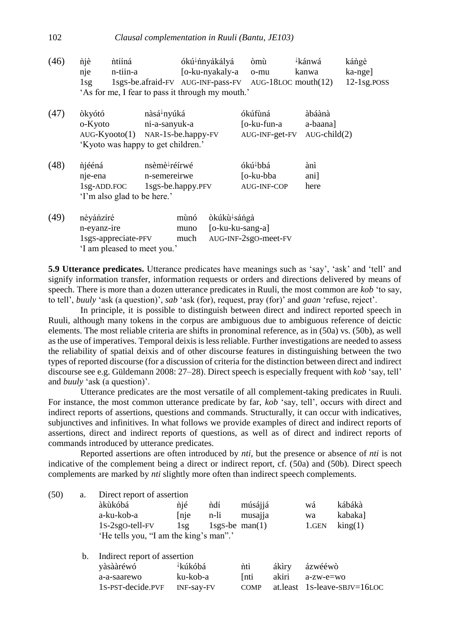(46)  $\hat{\mathbf{n}}$ jè  $\hat{\mathbf{n}}$ tííná  $\hat{\mathbf{o}}$ ókú<sup> $\hat{\mathbf{t}}$ </sup>nyákályá  $\hat{\mathbf{o}}$ mù <sup>↓</sup>kánwá kángè nje n-tiin-a [o-ku-nyakaly-a o-mu kanwa ka-nge] 1sg 1sgS-be.afraid-FV AUG-INF-pass-FV AUG-18LOC mouth(12) 12-1sg.POSS 'As for me, I fear to pass it through my mouth.'

| (47) | òkyótó<br>o-Kyoto<br>$AUG-Kyooto(1)$                                           | nàsá <sup>↓</sup> nyúká<br>ni-a-sanyuk-a<br>'Kyoto was happy to get children.'                             | ókúfùná<br>NAR-1S-be.happy-FV<br>AUG-INF-get-FV |                                                         | àbáànà<br>a-baana]<br>$AUG$ -child $(2)$ |
|------|--------------------------------------------------------------------------------|------------------------------------------------------------------------------------------------------------|-------------------------------------------------|---------------------------------------------------------|------------------------------------------|
| (48) | njééná<br>nje-ena<br>$1$ sg-ADD.FOC                                            | nsèmè <sup>↓</sup> réírwé<br>n-semereirwe<br>1sg <sub>S</sub> -be.happy.PFV<br>'I'm also glad to be here.' |                                                 | ókú <sup>↓</sup> bbá<br>[o-ku-bba<br><b>AUG-INF-COP</b> | ànì<br>ani<br>here                       |
| (49) | nèyáńzíré<br>n-eyanz-ire<br>1sgS-appreciate-PFV<br>'I am pleased to meet you.' | mùnó<br>muno<br>much                                                                                       | òkúkù <sup>↓</sup> sáńgà                        | [o-ku-ku-sang-a]<br>AUG-INF-2sgO-meet-FV                |                                          |

**5.9 Utterance predicates.** Utterance predicates have meanings such as 'say', 'ask' and 'tell' and signify information transfer, information requests or orders and directions delivered by means of speech. There is more than a dozen utterance predicates in Ruuli, the most common are *kob* 'to say, to tell', *buuly* 'ask (a question)', *sab* 'ask (for), request, pray (for)' and *gaan* 'refuse, reject'.

In principle, it is possible to distinguish between direct and indirect reported speech in Ruuli, although many tokens in the corpus are ambiguous due to ambiguous reference of deictic elements. The most reliable criteria are shifts in pronominal reference, as in (50a) vs. (50b), as well as the use of imperatives. Temporal deixis is less reliable. Further investigations are needed to assess the reliability of spatial deixis and of other discourse features in distinguishing between the two types of reported discourse (for a discussion of criteria for the distinction between direct and indirect discourse see e.g. Güldemann 2008: 27–28). Direct speech is especially frequent with *kob* 'say, tell' and *buuly* 'ask (a question)'.

Utterance predicates are the most versatile of all complement-taking predicates in Ruuli. For instance, the most common utterance predicate by far, *kob* 'say, tell', occurs with direct and indirect reports of assertions, questions and commands. Structurally, it can occur with indicatives, subjunctives and infinitives. In what follows we provide examples of direct and indirect reports of assertions, direct and indirect reports of questions, as well as of direct and indirect reports of commands introduced by utterance predicates.

Reported assertions are often introduced by *nti*, but the presence or absence of *nti* is not indicative of the complement being a direct or indirect report, cf. (50a) and (50b). Direct speech complements are marked by *nti* slightly more often than indirect speech complements.

| (50) | a. | Direct report of assertion             |            |                  |             |          |              |                        |
|------|----|----------------------------------------|------------|------------------|-------------|----------|--------------|------------------------|
|      |    | àkùkóbá                                | njé        | ndí              | músájjá     |          | wá           | kábákà                 |
|      |    | a-ku-kob-a                             | [nje       | n-li             | musajja     |          | wa           | kabaka]                |
|      |    | $1s-2sgo-tell-FV$                      | $1$ sg     | $1sgs-be$ man(1) |             |          | 1.GEN        | $\text{king}(1)$       |
|      |    | 'He tells you, "I am the king's man".' |            |                  |             |          |              |                        |
|      | b. | Indirect report of assertion           |            |                  |             |          |              |                        |
|      |    | yàsààréwó                              | ∤kúkóbá    |                  | nti         | ákìry    | ázwééwò      |                        |
|      |    | a-a-saarewo                            | ku-kob-a   |                  | [nti        | akiri    | $a$ -zw-e=wo |                        |
|      |    | 1S-PST-decide.PVF                      | INF-say-FV |                  | <b>COMP</b> | at.least |              | $1s$ -leave-SBJV=16LOC |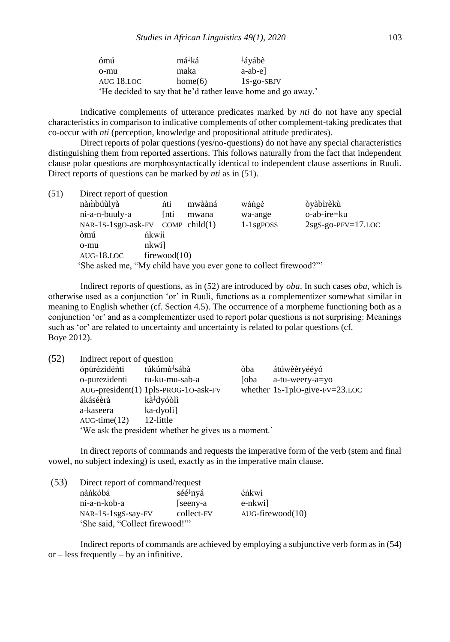| ómú        | má <sup>↓</sup> ká | $\frac{1}{2}$ áyábè                                          |
|------------|--------------------|--------------------------------------------------------------|
| o-mu       | maka               | a-ab-el                                                      |
| AUG 18.LOC | home(6)            | $1S$ -go-SBJV                                                |
|            |                    | 'He decided to say that he'd rather leave home and go away.' |

Indicative complements of utterance predicates marked by *nti* do not have any special characteristics in comparison to indicative complements of other complement-taking predicates that co-occur with *nti* (perception, knowledge and propositional attitude predicates).

Direct reports of polar questions (yes/no-questions) do not have any special characteristics distinguishing them from reported assertions. This follows naturally from the fact that independent clause polar questions are morphosyntactically identical to independent clause assertions in Ruuli. Direct reports of questions can be marked by *nti* as in (51).

| (51) | Direct report of question                                         |       |              |        |              |                      |  |
|------|-------------------------------------------------------------------|-------|--------------|--------|--------------|----------------------|--|
|      | nàmbúùlyà                                                         |       | ńtì          | mwààná | wángè        | òyàbìrèkù            |  |
|      | ni-a-n-buuly-a                                                    |       | <i>Inti</i>  | mwana  | wa-ange      | o-ab-ire=ku          |  |
|      | NAR-1S-1sgO-ask-FV COMP child(1)                                  |       |              |        | $1-1$ sgposs | $2sgS-go-PFV=17.LOC$ |  |
|      | òmú                                                               | ńkwii |              |        |              |                      |  |
|      | o-mu                                                              | nkwi] |              |        |              |                      |  |
|      | $AUG-18.LOC$                                                      |       | firewood(10) |        |              |                      |  |
|      | 'She asked me, "My child have you ever gone to collect firewood?" |       |              |        |              |                      |  |
|      |                                                                   |       |              |        |              |                      |  |

Indirect reports of questions, as in (52) are introduced by *oba*. In such cases *oba*, which is otherwise used as a conjunction 'or' in Ruuli, functions as a complementizer somewhat similar in meaning to English whether (cf. Section 4.5). The occurrence of a morpheme functioning both as a conjunction 'or' and as a complementizer used to report polar questions is not surprising: Meanings such as 'or' are related to uncertainty and uncertainty is related to polar questions (cf. Boye 2012).

| (52) | Indirect report of question |                                                      |      |                                |  |  |
|------|-----------------------------|------------------------------------------------------|------|--------------------------------|--|--|
|      | ópúrézìdèntì                | túkúmù <sup>↓</sup> sábà                             | òba  | átúwèèryééyó                   |  |  |
|      | o-purezidenti               | tu-ku-mu-sab-a                                       | [oba | a-tu-weery-a=yo                |  |  |
|      |                             | AUG-president(1) 1plS-PROG-10-ask-FV                 |      | whether 1s-1plo-give-FV=23.LOC |  |  |
|      | ákáséèrà                    | kà <sup>↓</sup> dyóòlì                               |      |                                |  |  |
|      | a-kaseera                   | ka-dyoli]                                            |      |                                |  |  |
|      | $AUG-time(12)$              | 12-little                                            |      |                                |  |  |
|      |                             | 'We ask the president whether he gives us a moment.' |      |                                |  |  |

In direct reports of commands and requests the imperative form of the verb (stem and final vowel, no subject indexing) is used, exactly as in the imperative main clause.

| (53) | Direct report of command/request |                      |                        |  |  |  |
|------|----------------------------------|----------------------|------------------------|--|--|--|
|      | nànkóbá                          | séé <sup>↓</sup> nyá | éńkwì                  |  |  |  |
|      | ni-a-n-kob-a                     | [seeny-a]            | e-nkwi]                |  |  |  |
|      | NAR-1S-1sgS-say-FV               | collect-FV           | $AUG$ -firewood $(10)$ |  |  |  |
|      | 'She said, "Collect firewood!""  |                      |                        |  |  |  |

Indirect reports of commands are achieved by employing a subjunctive verb form as in (54) or  $-$  less frequently  $-$  by an infinitive.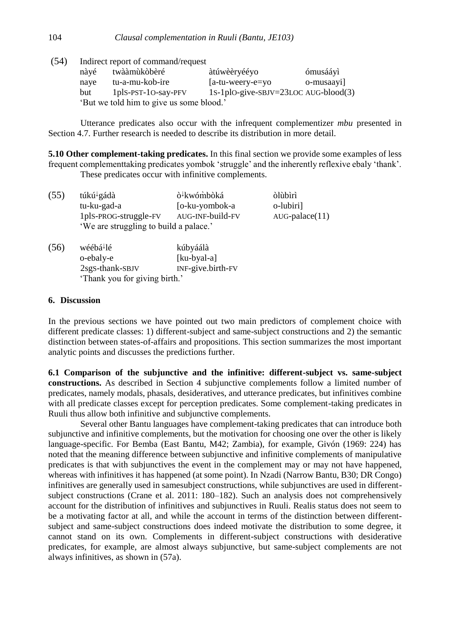(54) Indirect report of command/request

| nàyé                                     | twààmùkòbèré               | àtúwèèryééyo                             | ómusááyì   |  |  |
|------------------------------------------|----------------------------|------------------------------------------|------------|--|--|
| naye                                     | tu-a-mu-kob-ire            | $[$ a-tu-weery-e $=$ yo                  | o-musaayi] |  |  |
| but                                      | $1$ plS-PST- $1$ O-say-PFV | 1s-1plo-give-s $B$ JV=23LOC AUG-blood(3) |            |  |  |
| 'But we told him to give us some blood.' |                            |                                          |            |  |  |

Utterance predicates also occur with the infrequent complementizer *mbu* presented in Section 4.7. Further research is needed to describe its distribution in more detail.

**5.10 Other complement-taking predicates.** In this final section we provide some examples of less frequent complementtaking predicates yombok 'struggle' and the inherently reflexive ebaly 'thank'. These predicates occur with infinitive complements.

| (55) | túkú <sup>↓</sup> gádà                 | ò <sup>↓</sup> kwómbòká | òlùbìrì          |
|------|----------------------------------------|-------------------------|------------------|
|      | tu-ku-gad-a                            | [o-ku-yombok-a          | o-lubiri]        |
|      | 1plS-PROG-struggle-FV                  | AUG-INF-build-FV        | $AUG-palace(11)$ |
|      | 'We are struggling to build a palace.' |                         |                  |
| (56) | wéébá <sup>↓</sup> lé                  | kúbyáálà                |                  |

| 56) | wéébá <sup>↓</sup> lé         | kúbyáálà          |  |
|-----|-------------------------------|-------------------|--|
|     | o-ebaly-e                     | [ku-byal-a]       |  |
|     | 2sgS-thank-SBJV               | INF-give.birth-FV |  |
|     | 'Thank you for giving birth.' |                   |  |

## **6. Discussion**

In the previous sections we have pointed out two main predictors of complement choice with different predicate classes: 1) different-subject and same-subject constructions and 2) the semantic distinction between states-of-affairs and propositions. This section summarizes the most important analytic points and discusses the predictions further.

**6.1 Comparison of the subjunctive and the infinitive: different-subject vs. same-subject constructions.** As described in Section 4 subjunctive complements follow a limited number of predicates, namely modals, phasals, desideratives, and utterance predicates, but infinitives combine with all predicate classes except for perception predicates. Some complement-taking predicates in Ruuli thus allow both infinitive and subjunctive complements.

Several other Bantu languages have complement-taking predicates that can introduce both subjunctive and infinitive complements, but the motivation for choosing one over the other is likely language-specific. For Bemba (East Bantu, M42; Zambia), for example, Givón (1969: 224) has noted that the meaning difference between subjunctive and infinitive complements of manipulative predicates is that with subjunctives the event in the complement may or may not have happened, whereas with infinitives it has happened (at some point). In Nzadi (Narrow Bantu, B30; DR Congo) infinitives are generally used in samesubject constructions, while subjunctives are used in differentsubject constructions (Crane et al. 2011: 180–182). Such an analysis does not comprehensively account for the distribution of infinitives and subjunctives in Ruuli. Realis status does not seem to be a motivating factor at all, and while the account in terms of the distinction between differentsubject and same-subject constructions does indeed motivate the distribution to some degree, it cannot stand on its own. Complements in different-subject constructions with desiderative predicates, for example, are almost always subjunctive, but same-subject complements are not always infinitives, as shown in (57a).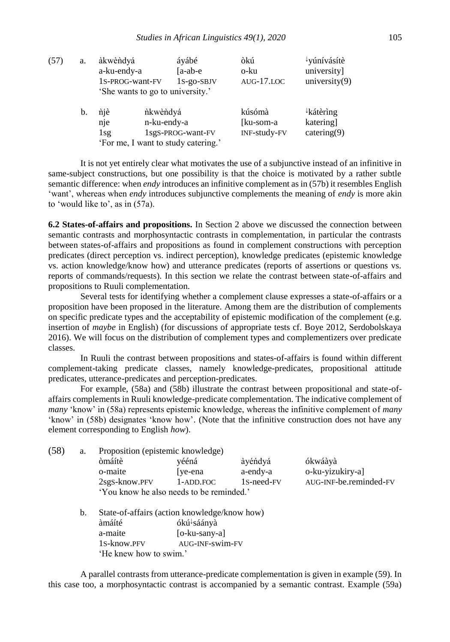| (57) | a. | àkwèndyá<br>a-ku-endy-a<br>1S-PROG-want-FV |                         | áyábé<br>$[a-ab-e]$<br>$1s-go-SBV$<br>'She wants to go to university.' | òkú<br>o-ku<br>$AUG-17.LOC$         | <sup>↓</sup> yúnívásítè<br>university]<br>university $(9)$ |
|------|----|--------------------------------------------|-------------------------|------------------------------------------------------------------------|-------------------------------------|------------------------------------------------------------|
|      | b. | niè<br>nje<br>1sg                          | nkwèndyá<br>n-ku-endy-a | 1sgS-PROG-want-FV<br>'For me, I want to study catering.'               | kúsómà<br>[ku-som-a<br>INF-study-FV | $\downarrow$ kátèrìng<br>katering]<br>catering $(9)$       |

It is not yet entirely clear what motivates the use of a subjunctive instead of an infinitive in same-subject constructions, but one possibility is that the choice is motivated by a rather subtle semantic difference: when *endy* introduces an infinitive complement as in (57b) it resembles English 'want', whereas when *endy* introduces subjunctive complements the meaning of *endy* is more akin to 'would like to', as in (57a).

**6.2 States-of-affairs and propositions.** In Section 2 above we discussed the connection between semantic contrasts and morphosyntactic contrasts in complementation, in particular the contrasts between states-of-affairs and propositions as found in complement constructions with perception predicates (direct perception vs. indirect perception), knowledge predicates (epistemic knowledge vs. action knowledge/know how) and utterance predicates (reports of assertions or questions vs. reports of commands/requests). In this section we relate the contrast between state-of-affairs and propositions to Ruuli complementation.

Several tests for identifying whether a complement clause expresses a state-of-affairs or a proposition have been proposed in the literature. Among them are the distribution of complements on specific predicate types and the acceptability of epistemic modification of the complement (e.g. insertion of *maybe* in English) (for discussions of appropriate tests cf. Boye 2012, Serdobolskaya 2016). We will focus on the distribution of complement types and complementizers over predicate classes.

In Ruuli the contrast between propositions and states-of-affairs is found within different complement-taking predicate classes, namely knowledge-predicates, propositional attitude predicates, utterance-predicates and perception-predicates.

For example, (58a) and (58b) illustrate the contrast between propositional and state-ofaffairs complements in Ruuli knowledge-predicate complementation. The indicative complement of *many* 'know' in (58a) represents epistemic knowledge, whereas the infinitive complement of *many* 'know' in (58b) designates 'know how'. (Note that the infinitive construction does not have any element corresponding to English *how*).

| (58) | a. | Proposition (epistemic knowledge)                         |                         |                     |                             |  |  |
|------|----|-----------------------------------------------------------|-------------------------|---------------------|-----------------------------|--|--|
|      |    | òmáítè<br>o-maite                                         | vééná<br>ve-ena         | àyéńdyá<br>a-endy-a | ókwáàyà<br>o-ku-yizukiry-a] |  |  |
|      |    | 2sgS-know.PFV<br>'You know he also needs to be reminded.' | 1-ADD.FOC               | 1s-need-FV          | AUG-INF-be.reminded-FV      |  |  |
|      | b. | State-of-affairs (action knowledge/know how)              |                         |                     |                             |  |  |
|      |    | àmáíté                                                    | ókú <sup>↓</sup> sáányà |                     |                             |  |  |
|      |    | a-maite                                                   | $[o-ku-sany-a]$         |                     |                             |  |  |
|      |    | 1s-know.PFV                                               | AUG-INF-swim-FV         |                     |                             |  |  |

A parallel contrasts from utterance-predicate complementation is given in example (59). In this case too, a morphosyntactic contrast is accompanied by a semantic contrast. Example (59a)

'He knew how to swim.'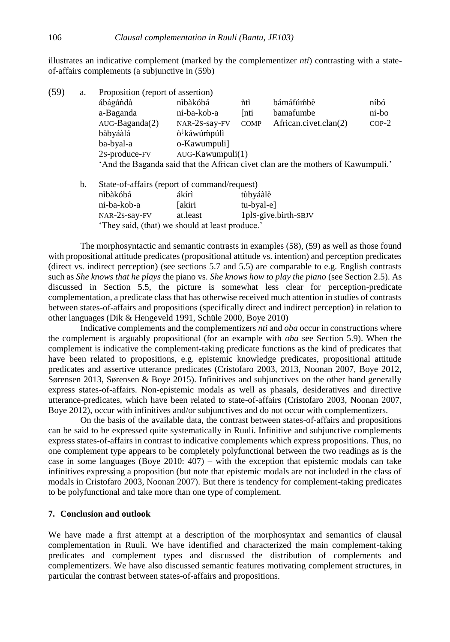illustrates an indicative complement (marked by the complementizer *nti*) contrasting with a stateof-affairs complements (a subjunctive in (59b)

| (59) | a. | Proposition (report of assertion)                                                |                          |             |                       |         |  |
|------|----|----------------------------------------------------------------------------------|--------------------------|-------------|-----------------------|---------|--|
|      |    | ábágándà                                                                         | nibàkóbá                 | nti         | bámáfúmbè             | níbó    |  |
|      |    | a-Baganda                                                                        | ni-ba-kob-a              | <b>Inti</b> | bamafumbe             | ni-bo   |  |
|      |    | $AUG-Baganda(2)$                                                                 | NAR-2S-say-FV            | <b>COMP</b> | African.civet.clan(2) | $COP-2$ |  |
|      |    | bàbyáàlá                                                                         | ò <sup>↓</sup> káwúḿpúlì |             |                       |         |  |
|      |    | ba-byal-a                                                                        | o-Kawumpuli              |             |                       |         |  |
|      |    | 2s-produce-FV                                                                    | $AUG-Kawumpuli(1)$       |             |                       |         |  |
|      |    | 'And the Baganda said that the African civet clan are the mothers of Kawumpuli.' |                          |             |                       |         |  |
|      |    |                                                                                  |                          |             |                       |         |  |

| b. | State-of-affairs (report of command/request)    |                      |                      |  |  |  |
|----|-------------------------------------------------|----------------------|----------------------|--|--|--|
|    | nìbàkóbá                                        | ákírì                | tùbyáàlè             |  |  |  |
|    | ni-ba-kob-a                                     | <b><i>Lakiri</i></b> | tu-byal-el           |  |  |  |
|    | NAR-2s-say-FV                                   | at.least             | 1pls-give.birth-SBJV |  |  |  |
|    | 'They said, (that) we should at least produce.' |                      |                      |  |  |  |

The morphosyntactic and semantic contrasts in examples (58), (59) as well as those found with propositional attitude predicates (propositional attitude vs. intention) and perception predicates (direct vs. indirect perception) (see sections 5.7 and 5.5) are comparable to e.g. English contrasts such as *She knows that he plays* the piano vs. *She knows how to play the piano* (see Section 2.5). As discussed in Section 5.5, the picture is somewhat less clear for perception-predicate complementation, a predicate class that has otherwise received much attention in studies of contrasts between states-of-affairs and propositions (specifically direct and indirect perception) in relation to other languages (Dik & Hengeveld 1991, Schüle 2000, Boye 2010)

Indicative complements and the complementizers *nti* and *oba* occur in constructions where the complement is arguably propositional (for an example with *oba* see Section 5.9). When the complement is indicative the complement-taking predicate functions as the kind of predicates that have been related to propositions, e.g. epistemic knowledge predicates, propositional attitude predicates and assertive utterance predicates (Cristofaro 2003, 2013, Noonan 2007, Boye 2012, Sørensen 2013, Sørensen & Boye 2015). Infinitives and subjunctives on the other hand generally express states-of-affairs. Non-epistemic modals as well as phasals, desideratives and directive utterance-predicates, which have been related to state-of-affairs (Cristofaro 2003, Noonan 2007, Boye 2012), occur with infinitives and/or subjunctives and do not occur with complementizers.

On the basis of the available data, the contrast between states-of-affairs and propositions can be said to be expressed quite systematically in Ruuli. Infinitive and subjunctive complements express states-of-affairs in contrast to indicative complements which express propositions. Thus, no one complement type appears to be completely polyfunctional between the two readings as is the case in some languages (Boye 2010: 407) – with the exception that epistemic modals can take infinitives expressing a proposition (but note that epistemic modals are not included in the class of modals in Cristofaro 2003, Noonan 2007). But there is tendency for complement-taking predicates to be polyfunctional and take more than one type of complement.

### **7. Conclusion and outlook**

We have made a first attempt at a description of the morphosyntax and semantics of clausal complementation in Ruuli. We have identified and characterized the main complement-taking predicates and complement types and discussed the distribution of complements and complementizers. We have also discussed semantic features motivating complement structures, in particular the contrast between states-of-affairs and propositions.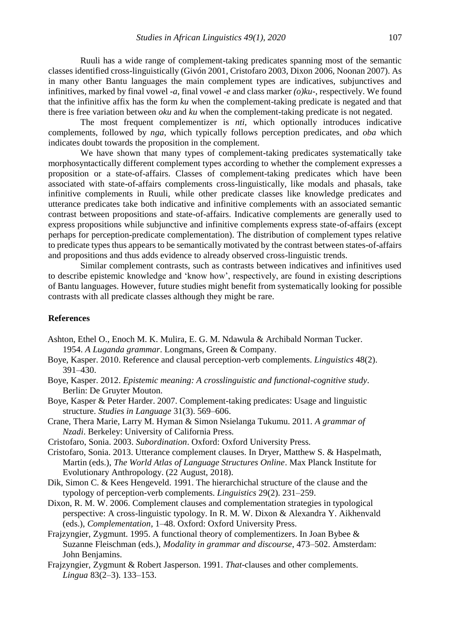Ruuli has a wide range of complement-taking predicates spanning most of the semantic classes identified cross-linguistically (Givón 2001, Cristofaro 2003, Dixon 2006, Noonan 2007). As in many other Bantu languages the main complement types are indicatives, subjunctives and infinitives, marked by final vowel *-a*, final vowel *-e* and class marker *(o)ku*-, respectively. We found that the infinitive affix has the form *ku* when the complement-taking predicate is negated and that there is free variation between *oku* and *ku* when the complement-taking predicate is not negated.

The most frequent complementizer is *nti*, which optionally introduces indicative complements, followed by *nga*, which typically follows perception predicates, and *oba* which indicates doubt towards the proposition in the complement.

We have shown that many types of complement-taking predicates systematically take morphosyntactically different complement types according to whether the complement expresses a proposition or a state-of-affairs. Classes of complement-taking predicates which have been associated with state-of-affairs complements cross-linguistically, like modals and phasals, take infinitive complements in Ruuli, while other predicate classes like knowledge predicates and utterance predicates take both indicative and infinitive complements with an associated semantic contrast between propositions and state-of-affairs. Indicative complements are generally used to express propositions while subjunctive and infinitive complements express state-of-affairs (except perhaps for perception-predicate complementation). The distribution of complement types relative to predicate types thus appears to be semantically motivated by the contrast between states-of-affairs and propositions and thus adds evidence to already observed cross-linguistic trends.

Similar complement contrasts, such as contrasts between indicatives and infinitives used to describe epistemic knowledge and 'know how', respectively, are found in existing descriptions of Bantu languages. However, future studies might benefit from systematically looking for possible contrasts with all predicate classes although they might be rare.

### **References**

- Ashton, Ethel O., Enoch M. K. Mulira, E. G. M. Ndawula & Archibald Norman Tucker. 1954. *A Luganda grammar*. Longmans, Green & Company.
- Boye, Kasper. 2010. Reference and clausal perception-verb complements. *Linguistics* 48(2). 391–430.
- Boye, Kasper. 2012. *Epistemic meaning: A crosslinguistic and functional-cognitive study*. Berlin: De Gruyter Mouton.
- Boye, Kasper & Peter Harder. 2007. Complement-taking predicates: Usage and linguistic structure. *Studies in Language* 31(3). 569–606.
- Crane, Thera Marie, Larry M. Hyman & Simon Nsielanga Tukumu. 2011. *A grammar of Nzadi*. Berkeley: University of California Press.
- Cristofaro, Sonia. 2003. *Subordination*. Oxford: Oxford University Press.
- Cristofaro, Sonia. 2013. Utterance complement clauses. In Dryer, Matthew S. & Haspelmath, Martin (eds.), *The World Atlas of Language Structures Online*. Max Planck Institute for Evolutionary Anthropology. (22 August, 2018).
- Dik, Simon C. & Kees Hengeveld. 1991. The hierarchichal structure of the clause and the typology of perception-verb complements. *Linguistics* 29(2). 231–259.
- Dixon, R. M. W. 2006. Complement clauses and complementation strategies in typological perspective: A cross-linguistic typology. In R. M. W. Dixon & Alexandra Y. Aikhenvald (eds.), *Complementation*, 1–48. Oxford: Oxford University Press.
- Frajzyngier, Zygmunt. 1995. A functional theory of complementizers. In Joan Bybee & Suzanne Fleischman (eds.), *Modality in grammar and discourse*, 473–502. Amsterdam: John Benjamins.
- Frajzyngier, Zygmunt & Robert Jasperson. 1991. *That*-clauses and other complements. *Lingua* 83(2–3). 133–153.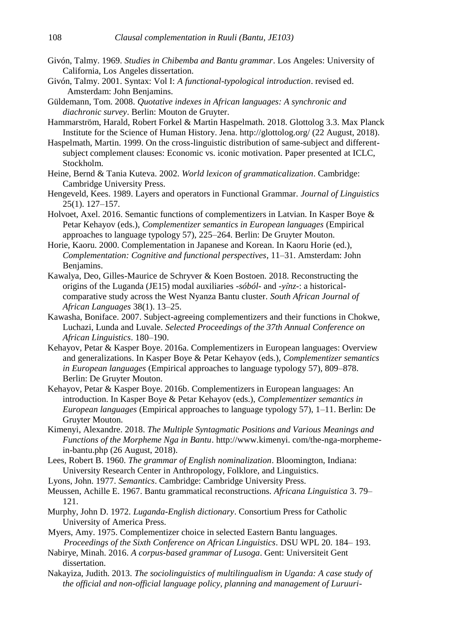- Givón, Talmy. 1969. *Studies in Chibemba and Bantu grammar*. Los Angeles: University of California, Los Angeles dissertation.
- Givón, Talmy. 2001. Syntax: Vol I: *A functional-typological introduction*. revised ed. Amsterdam: John Benjamins.
- Güldemann, Tom. 2008. *Quotative indexes in African languages: A synchronic and diachronic survey*. Berlin: Mouton de Gruyter.
- Hammarström, Harald, Robert Forkel & Martin Haspelmath. 2018. Glottolog 3.3. Max Planck Institute for the Science of Human History. Jena. http://glottolog.org/ (22 August, 2018).
- Haspelmath, Martin. 1999. On the cross-linguistic distribution of same-subject and differentsubject complement clauses: Economic vs. iconic motivation. Paper presented at ICLC, Stockholm.
- Heine, Bernd & Tania Kuteva. 2002. *World lexicon of grammaticalization*. Cambridge: Cambridge University Press.
- Hengeveld, Kees. 1989. Layers and operators in Functional Grammar. *Journal of Linguistics*  25(1). 127–157.
- Holvoet, Axel. 2016. Semantic functions of complementizers in Latvian. In Kasper Boye & Petar Kehayov (eds.), *Complementizer semantics in European languages* (Empirical approaches to language typology 57), 225–264. Berlin: De Gruyter Mouton.
- Horie, Kaoru. 2000. Complementation in Japanese and Korean. In Kaoru Horie (ed.), *Complementation: Cognitive and functional perspectives*, 11–31. Amsterdam: John Benjamins.
- Kawalya, Deo, Gilles-Maurice de Schryver & Koen Bostoen. 2018. Reconstructing the origins of the Luganda (JE15) modal auxiliaries *-sóból-* and *-yı̂nz-*: a historicalcomparative study across the West Nyanza Bantu cluster. *South African Journal of African Languages* 38(1). 13–25.
- Kawasha, Boniface. 2007. Subject-agreeing complementizers and their functions in Chokwe, Luchazi, Lunda and Luvale. *Selected Proceedings of the 37th Annual Conference on African Linguistics*. 180–190.
- Kehayov, Petar & Kasper Boye. 2016a. Complementizers in European languages: Overview and generalizations. In Kasper Boye & Petar Kehayov (eds.), *Complementizer semantics in European languages* (Empirical approaches to language typology 57), 809–878. Berlin: De Gruyter Mouton.
- Kehayov, Petar & Kasper Boye. 2016b. Complementizers in European languages: An introduction. In Kasper Boye & Petar Kehayov (eds.), *Complementizer semantics in European languages* (Empirical approaches to language typology 57), 1–11. Berlin: De Gruyter Mouton.
- Kimenyi, Alexandre. 2018. *The Multiple Syntagmatic Positions and Various Meanings and Functions of the Morpheme Nga in Bantu*. http://www.kimenyi. com/the-nga-morphemein-bantu.php (26 August, 2018).
- Lees, Robert B. 1960. *The grammar of English nominalization*. Bloomington, Indiana: University Research Center in Anthropology, Folklore, and Linguistics.
- Lyons, John. 1977. *Semantics*. Cambridge: Cambridge University Press.
- Meussen, Achille E. 1967. Bantu grammatical reconstructions. *Africana Linguistica* 3. 79– 121.
- Murphy, John D. 1972. *Luganda-English dictionary*. Consortium Press for Catholic University of America Press.
- Myers, Amy. 1975. Complementizer choice in selected Eastern Bantu languages. *Proceedings of the Sixth Conference on African Linguistics*. DSU WPL 20. 184– 193.
- Nabirye, Minah. 2016. *A corpus-based grammar of Lusoga*. Gent: Universiteit Gent dissertation.
- Nakayiza, Judith. 2013. *The sociolinguistics of multilingualism in Uganda: A case study of the official and non-official language policy, planning and management of Luruuri-*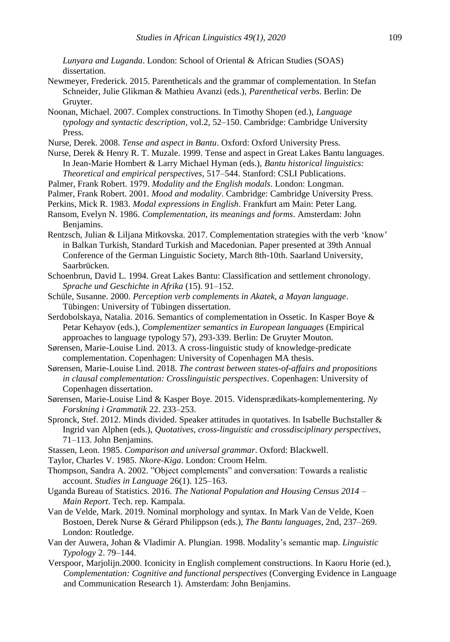*Lunyara and Luganda*. London: School of Oriental & African Studies (SOAS) dissertation.

- Newmeyer, Frederick. 2015. Parentheticals and the grammar of complementation. In Stefan Schneider, Julie Glikman & Mathieu Avanzi (eds.), *Parenthetical verbs*. Berlin: De Gruyter.
- Noonan, Michael. 2007. Complex constructions. In Timothy Shopen (ed.), *Language typology and syntactic description*, vol.2, 52–150. Cambridge: Cambridge University Press.
- Nurse, Derek. 2008. *Tense and aspect in Bantu*. Oxford: Oxford University Press.
- Nurse, Derek & Henry R. T. Muzale. 1999. Tense and aspect in Great Lakes Bantu languages. In Jean-Marie Hombert & Larry Michael Hyman (eds.), *Bantu historical linguistics: Theoretical and empirical perspectives*, 517–544. Stanford: CSLI Publications.
- Palmer, Frank Robert. 1979. *Modality and the English modals*. London: Longman.
- Palmer, Frank Robert. 2001. *Mood and modality*. Cambridge: Cambridge University Press.
- Perkins, Mick R. 1983. *Modal expressions in English*. Frankfurt am Main: Peter Lang.
- Ransom, Evelyn N. 1986. *Complementation, its meanings and forms*. Amsterdam: John Benjamins.
- Rentzsch, Julian & Liljana Mitkovska. 2017. Complementation strategies with the verb 'know' in Balkan Turkish, Standard Turkish and Macedonian. Paper presented at 39th Annual Conference of the German Linguistic Society, March 8th-10th. Saarland University, Saarbrücken.
- Schoenbrun, David L. 1994. Great Lakes Bantu: Classification and settlement chronology. *Sprache und Geschichte in Afrika* (15). 91–152.
- Schüle, Susanne. 2000. *Perception verb complements in Akatek, a Mayan language*. Tübingen: University of Tübingen dissertation.
- Serdobolskaya, Natalia. 2016. Semantics of complementation in Ossetic. In Kasper Boye & Petar Kehayov (eds.), *Complementizer semantics in European languages* (Empirical approaches to language typology 57), 293-339. Berlin: De Gruyter Mouton.
- Sørensen, Marie-Louise Lind. 2013. A cross-linguistic study of knowledge-predicate complementation. Copenhagen: University of Copenhagen MA thesis.
- Sørensen, Marie-Louise Lind. 2018. *The contrast between states-of-affairs and propositions in clausal complementation: Crosslinguistic perspectives*. Copenhagen: University of Copenhagen dissertation.
- Sørensen, Marie-Louise Lind & Kasper Boye. 2015. Vidensprædikats-komplementering. *Ny Forskning i Grammatik* 22. 233–253.
- Spronck, Stef. 2012. Minds divided. Speaker attitudes in quotatives. In Isabelle Buchstaller & Ingrid van Alphen (eds.), *Quotatives, cross-linguistic and crossdisciplinary perspectives*, 71–113. John Benjamins.
- Stassen, Leon. 1985. *Comparison and universal grammar*. Oxford: Blackwell.
- Taylor, Charles V. 1985. *Nkore-Kiga*. London: Croom Helm.
- Thompson, Sandra A. 2002. "Object complements" and conversation: Towards a realistic account. *Studies in Language* 26(1). 125–163.
- Uganda Bureau of Statistics. 2016. *The National Population and Housing Census 2014 – Main Report*. Tech. rep. Kampala.
- Van de Velde, Mark. 2019. Nominal morphology and syntax. In Mark Van de Velde, Koen Bostoen, Derek Nurse & Gérard Philippson (eds.), *The Bantu languages*, 2nd, 237–269. London: Routledge.
- Van der Auwera, Johan & Vladimir A. Plungian. 1998. Modality's semantic map. *Linguistic Typology* 2. 79–144.
- Verspoor, Marjolijn.2000. Iconicity in English complement constructions. In Kaoru Horie (ed.), *Complementation: Cognitive and functional perspectives* (Converging Evidence in Language and Communication Research 1). Amsterdam: John Benjamins.